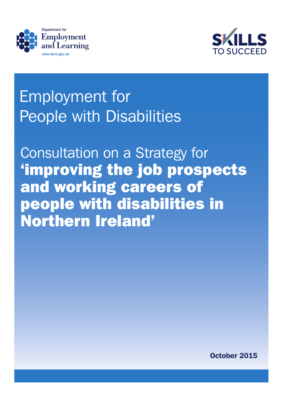



# Employment for People with Disabilities

Consultation on a Strategy for 'improving the job prospects and working careers of people with disabilities in Northern Ireland'

October 2015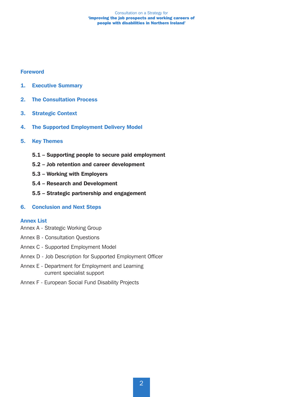#### Consultation on a Strategy for 'improving the job prospects and working careers of people with disabilities in Northern Ireland'

#### Foreword

- 1. Executive Summary
- 2. The Consultation Process
- 3. Strategic Context
- 4. The Supported Employment Delivery Model

#### 5. Key Themes

- 5.1 Supporting people to secure paid employment
- 5.2 Job retention and career development
- 5.3 Working with Employers
- 5.4 Research and Development
- 5.5 Strategic partnership and engagement

#### 6. Conclusion and Next Steps

#### Annex List

- Annex A Strategic Working Group
- Annex B Consultation Questions
- Annex C Supported Employment Model
- Annex D Job Description for Supported Employment Officer
- Annex E Department for Employment and Learning current specialist support
- Annex F European Social Fund Disability Projects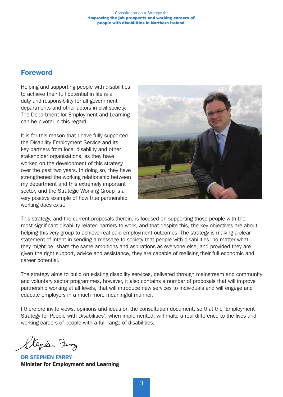#### Consultation on a Strategy for 'improving the job prospects and working careers of people with disabilities in Northern Ireland'

# Foreword

Helping and supporting people with disabilities to achieve their full potential in life is a duty and responsibility for all government departments and other actors in civil society. The Department for Employment and Learning can be pivotal in this regard.

It is for this reason that I have fully supported the Disability Employment Service and its key partners from local disability and other stakeholder organisations, as they have worked on the development of this strategy over the past two years. In doing so, they have strengthened the working relationship between my department and this extremely important sector, and the Strategic Working Group is a very positive example of how true partnership working does exist.



This strategy, and the current proposals therein, is focused on supporting those people with the most significant disability related barriers to work, and that despite this, the key objectives are about helping this very group to achieve real paid employment outcomes. The strategy is making a clear statement of intent in sending a message to society that people with disabilities, no matter what they might be, share the same ambitions and aspirations as everyone else, and provided they are given the right support, advice and assistance, they are capable of realising their full economic and career potential.

The strategy aims to build on existing disability services, delivered through mainstream and community and voluntary sector programmes, however, it also contains a number of proposals that will improve partnership working at all levels, that will introduce new services to individuals and will engage and educate employers in a much more meaningful manner.

I therefore invite views, opinions and ideas on the consultation document, so that the 'Employment Strategy for People with Disabilities', when implemented, will make a real difference to the lives and working careers of people with a full range of disabilities.

Kleplan Dawy

DR STEPHEN FARRY Minister for Employment and Learning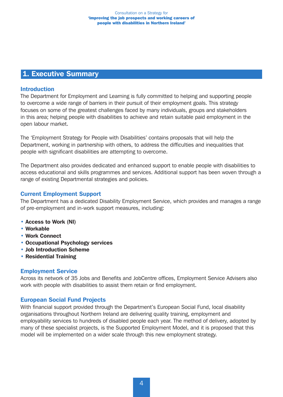## 1. Executive Summary

#### Introduction

The Department for Employment and Learning is fully committed to helping and supporting people to overcome a wide range of barriers in their pursuit of their employment goals. This strategy focuses on some of the greatest challenges faced by many individuals, groups and stakeholders in this area; helping people with disabilities to achieve and retain suitable paid employment in the open labour market.

The 'Employment Strategy for People with Disabilities' contains proposals that will help the Department, working in partnership with others, to address the difficulties and inequalities that people with significant disabilities are attempting to overcome.

The Department also provides dedicated and enhanced support to enable people with disabilities to access educational and skills programmes and services. Additional support has been woven through a range of existing Departmental strategies and policies.

#### Current Employment Support

The Department has a dedicated Disability Employment Service, which provides and manages a range of pre-employment and in-work support measures, including:

- Access to Work (NI)
- Workable
- Work Connect
- Occupational Psychology services
- Job Introduction Scheme
- Residential Training

#### Employment Service

Across its network of 35 Jobs and Benefits and JobCentre offices, Employment Service Advisers also work with people with disabilities to assist them retain or find employment.

#### European Social Fund Projects

With financial support provided through the Department's European Social Fund, local disability organisations throughout Northern Ireland are delivering quality training, employment and employability services to hundreds of disabled people each year. The method of delivery, adopted by many of these specialist projects, is the Supported Employment Model, and it is proposed that this model will be implemented on a wider scale through this new employment strategy.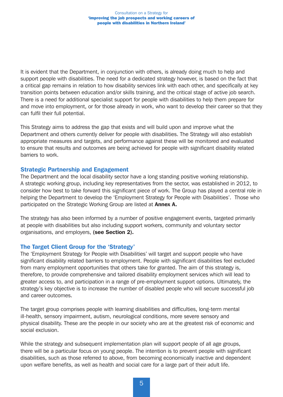It is evident that the Department, in conjunction with others, is already doing much to help and support people with disabilities. The need for a dedicated strategy however, is based on the fact that a critical gap remains in relation to how disability services link with each other, and specifically at key transition points between education and/or skills training, and the critical stage of active job search. There is a need for additional specialist support for people with disabilities to help them prepare for and move into employment, or for those already in work, who want to develop their career so that they can fulfil their full potential.

This Strategy aims to address the gap that exists and will build upon and improve what the Department and others currently deliver for people with disabilities. The Strategy will also establish appropriate measures and targets, and performance against these will be monitored and evaluated to ensure that results and outcomes are being achieved for people with significant disability related barriers to work.

#### Strategic Partnership and Engagement

The Department and the local disability sector have a long standing positive working relationship. A strategic working group, including key representatives from the sector, was established in 2012, to consider how best to take forward this significant piece of work. The Group has played a central role in helping the Department to develop the 'Employment Strategy for People with Disabilities'. Those who participated on the Strategic Working Group are listed at **Annex A.** 

The strategy has also been informed by a number of positive engagement events, targeted primarily at people with disabilities but also including support workers, community and voluntary sector organisations, and employers, (see Section 2).

#### The Target Client Group for the 'Strategy'

The 'Employment Strategy for People with Disabilities' will target and support people who have significant disability related barriers to employment. People with significant disabilities feel excluded from many employment opportunities that others take for granted. The aim of this strategy is, therefore, to provide comprehensive and tailored disability employment services which will lead to greater access to, and participation in a range of pre-employment support options. Ultimately, the strategy's key objective is to increase the number of disabled people who will secure successful job and career outcomes.

The target group comprises people with learning disabilities and difficulties, long-term mental ill-health, sensory impairment, autism, neurological conditions, more severe sensory and physical disability. These are the people in our society who are at the greatest risk of economic and social exclusion.

While the strategy and subsequent implementation plan will support people of all age groups, there will be a particular focus on young people. The intention is to prevent people with significant disabilities, such as those referred to above, from becoming economically inactive and dependent upon welfare benefits, as well as health and social care for a large part of their adult life.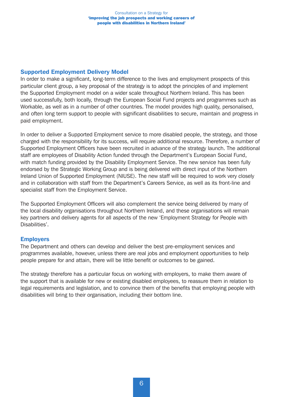## Supported Employment Delivery Model

In order to make a significant, long-term difference to the lives and employment prospects of this particular client group, a key proposal of the strategy is to adopt the principles of and implement the Supported Employment model on a wider scale throughout Northern Ireland. This has been used successfully, both locally, through the European Social Fund projects and programmes such as Workable, as well as in a number of other countries. The model provides high quality, personalised, and often long term support to people with significant disabilities to secure, maintain and progress in paid employment.

In order to deliver a Supported Employment service to more disabled people, the strategy, and those charged with the responsibility for its success, will require additional resource. Therefore, a number of Supported Employment Officers have been recruited in advance of the strategy launch. The additional staff are employees of Disability Action funded through the Department's European Social Fund, with match funding provided by the Disability Employment Service. The new service has been fully endorsed by the Strategic Working Group and is being delivered with direct input of the Northern Ireland Union of Supported Employment (NIUSE). The new staff will be required to work very closely and in collaboration with staff from the Department's Careers Service, as well as its front-line and specialist staff from the Employment Service.

The Supported Employment Officers will also complement the service being delivered by many of the local disability organisations throughout Northern Ireland, and these organisations will remain key partners and delivery agents for all aspects of the new 'Employment Strategy for People with Disabilities'.

#### **Employers**

The Department and others can develop and deliver the best pre-employment services and programmes available, however, unless there are real jobs and employment opportunities to help people prepare for and attain, there will be little benefit or outcomes to be gained.

The strategy therefore has a particular focus on working with employers, to make them aware of the support that is available for new or existing disabled employees, to reassure them in relation to legal requirements and legislation, and to convince them of the benefits that employing people with disabilities will bring to their organisation, including their bottom line.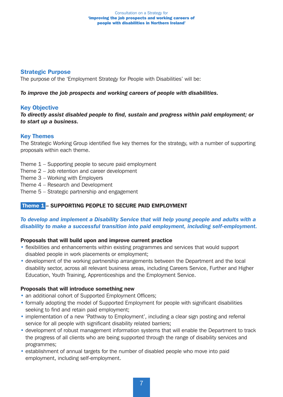#### Consultation on a Strategy for 'improving the job prospects and working careers of people with disabilities in Northern Ireland'

## Strategic Purpose

The purpose of the 'Employment Strategy for People with Disabilities' will be:

#### *To improve the job prospects and working careers of people with disabilities.*

#### Key Objective

*To directly assist disabled people to find, sustain and progress within paid employment; or to start up a business.*

#### Key Themes

The Strategic Working Group identified five key themes for the strategy, with a number of supporting proposals within each theme.

- Theme 1 Supporting people to secure paid employment
- Theme 2 Job retention and career development
- Theme 3 Working with Employers
- Theme 4 Research and Development
- Theme 5 Strategic partnership and engagement

#### Theme 1 – SUPPORTING PEOPLE TO SECURE PAID EMPLOYMENT

#### *To develop and implement a Disability Service that will help young people and adults with a disability to make a successful transition into paid employment, including self-employment.*

#### Proposals that will build upon and improve current practice

- flexibilities and enhancements within existing programmes and services that would support disabled people in work placements or employment;
- development of the working partnership arrangements between the Department and the local disability sector, across all relevant business areas, including Careers Service, Further and Higher Education, Youth Training, Apprenticeships and the Employment Service.

#### Proposals that will introduce something new

- an additional cohort of Supported Employment Officers;
- formally adopting the model of Supported Employment for people with significant disabilities seeking to find and retain paid employment;
- implementation of a new 'Pathway to Employment', including a clear sign posting and referral service for all people with significant disability related barriers;
- development of robust management information systems that will enable the Department to track the progress of all clients who are being supported through the range of disability services and programmes;
- establishment of annual targets for the number of disabled people who move into paid employment, including self-employment.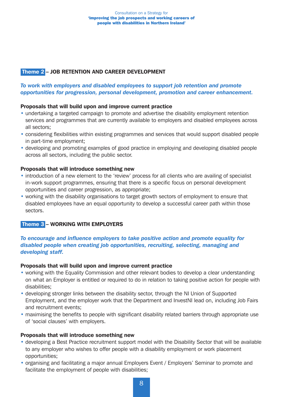## Theme 2 – JOB RETENTION AND CAREER DEVELOPMENT

#### *To work with employers and disabled employees to support job retention and promote opportunities for progression, personal development, promotion and career enhancement.*

#### Proposals that will build upon and improve current practice

- undertaking a targeted campaign to promote and advertise the disability employment retention services and programmes that are currently available to employers and disabled employees across all sectors;
- considering flexibilities within existing programmes and services that would support disabled people in part-time employment;
- developing and promoting examples of good practice in employing and developing disabled people across all sectors, including the public sector.

#### Proposals that will introduce something new

- introduction of a new element to the 'review' process for all clients who are availing of specialist in-work support programmes, ensuring that there is a specific focus on personal development opportunities and career progression, as appropriate;
- working with the disability organisations to target growth sectors of employment to ensure that disabled employees have an equal opportunity to develop a successful career path within those sectors.

## Theme 3 – WORKING WITH EMPLOYERS

#### *To encourage and influence employers to take positive action and promote equality for disabled people when creating job opportunities, recruiting, selecting, managing and developing staff.*

#### Proposals that will build upon and improve current practice

- working with the Equality Commission and other relevant bodies to develop a clear understanding on what an Employer is entitled or required to do in relation to taking positive action for people with disabilities;
- developing stronger links between the disability sector, through the NI Union of Supported Employment, and the employer work that the Department and InvestNI lead on, including Job Fairs and recruitment events;
- maximising the benefits to people with significant disability related barriers through appropriate use of 'social clauses' with employers.

#### Proposals that will introduce something new

- developing a Best Practice recruitment support model with the Disability Sector that will be available to any employer who wishes to offer people with a disability employment or work placement opportunities;
- organising and facilitating a major annual Employers Event / Employers' Seminar to promote and facilitate the employment of people with disabilities;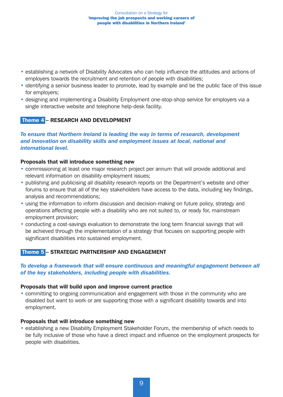- establishing a network of Disability Advocates who can help influence the attitudes and actions of employers towards the recruitment and retention of people with disabilities;
- identifying a senior business leader to promote, lead by example and be the public face of this issue for employers;
- designing and implementing a Disability Employment one-stop-shop service for employers via a single interactive website and telephone help-desk facility.

## Theme 4 – RESEARCH AND DEVELOPMENT

*To ensure that Northern Ireland is leading the way in terms of research, development and innovation on disability skills and employment issues at local, national and international level.*

#### Proposals that will introduce something new

- commissioning at least one major research project per annum that will provide additional and relevant information on disability employment issues;
- publishing and publicising all disability research reports on the Department's website and other forums to ensure that all of the key stakeholders have access to the data, including key findings, analysis and recommendations;
- using the information to inform discussion and decision-making on future policy, strategy and operations affecting people with a disability who are not suited to, or ready for, mainstream employment provision;
- conducting a cost-savings evaluation to demonstrate the long term financial savings that will be achieved through the implementation of a strategy that focuses on supporting people with significant disabilities into sustained employment.

#### Theme 5 – STRATEGIC PARTNERSHIP AND ENGAGEMENT

#### *To develop a framework that will ensure continuous and meaningful engagement between all of the key stakeholders, including people with disabilities.*

#### Proposals that will build upon and improve current practice

• committing to ongoing communication and engagement with those in the community who are disabled but want to work or are supporting those with a significant disability towards and into employment.

#### Proposals that will introduce something new

• establishing a new Disability Employment Stakeholder Forum, the membership of which needs to be fully inclusive of those who have a direct impact and influence on the employment prospects for people with disabilities.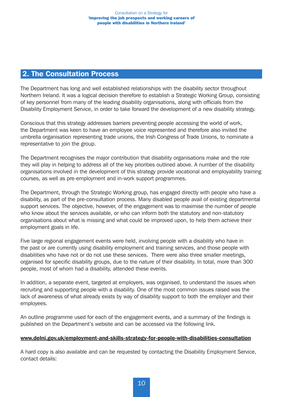## 2. The Consultation Process

The Department has long and well established relationships with the disability sector throughout Northern Ireland. It was a logical decision therefore to establish a Strategic Working Group, consisting of key personnel from many of the leading disability organisations, along with officials from the Disability Employment Service, in order to take forward the development of a new disability strategy.

Conscious that this strategy addresses barriers preventing people accessing the world of work, the Department was keen to have an employee voice represented and therefore also invited the umbrella organisation representing trade unions, the Irish Congress of Trade Unions, to nominate a representative to join the group.

The Department recognises the major contribution that disability organisations make and the role they will play in helping to address all of the key priorities outlined above. A number of the disability organisations involved in the development of this strategy provide vocational and employability training courses, as well as pre-employment and in-work support programmes.

The Department, through the Strategic Working group, has engaged directly with people who have a disability, as part of the pre-consultation process. Many disabled people avail of existing departmental support services. The objective, however, of the engagement was to maximise the number of people who know about the services available, or who can inform both the statutory and non-statutory organisations about what is missing and what could be improved upon, to help them achieve their employment goals in life.

Five large regional engagement events were held, involving people with a disability who have in the past or are currently using disability employment and training services, and those people with disabilities who have not or do not use these services. There were also three smaller meetings, organised for specific disability groups, due to the nature of their disability. In total, more than 300 people, most of whom had a disability, attended these events.

In addition, a separate event, targeted at employers, was organised, to understand the issues when recruiting and supporting people with a disability. One of the most common issues raised was the lack of awareness of what already exists by way of disability support to both the employer and their employees.

An outline programme used for each of the engagement events, and a summary of the findings is published on the Department's website and can be accessed via the following link.

#### www.delni.gov.uk/employment-and-skills-strategy-for-people-with-disabilities-consultation

A hard copy is also available and can be requested by contacting the Disability Employment Service, contact details: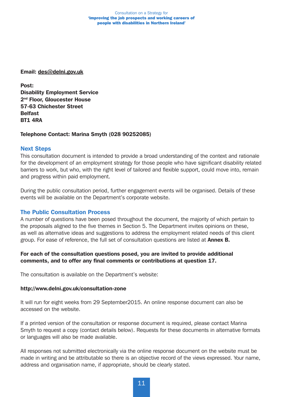Consultation on a Strategy for 'improving the job prospects and working careers of people with disabilities in Northern Ireland'

Email: des@delni.gov.uk

Post: Disability Employment Service 2<sup>nd</sup> Floor, Gloucester House 57-63 Chichester Street Belfast BT1 4RA

#### Telephone Contact: Marina Smyth (028 90252085)

#### Next Steps

This consultation document is intended to provide a broad understanding of the context and rationale for the development of an employment strategy for those people who have significant disability related barriers to work, but who, with the right level of tailored and flexible support, could move into, remain and progress within paid employment.

During the public consultation period, further engagement events will be organised. Details of these events will be available on the Department's corporate website.

#### The Public Consultation Process

A number of questions have been posed throughout the document, the majority of which pertain to the proposals aligned to the five themes in Section 5. The Department invites opinions on these, as well as alternative ideas and suggestions to address the employment related needs of this client group. For ease of reference, the full set of consultation questions are listed at **Annex B.** 

#### For each of the consultation questions posed, you are invited to provide additional comments, and to offer any final comments or contributions at question 17.

The consultation is available on the Department's website:

#### http://www.delni.gov.uk/consultation-zone

It will run for eight weeks from 29 September2015. An online response document can also be accessed on the website.

If a printed version of the consultation or response document is required, please contact Marina Smyth to request a copy (contact details below). Requests for these documents in alternative formats or languages will also be made available.

All responses not submitted electronically via the online response document on the website must be made in writing and be attributable so there is an objective record of the views expressed. Your name, address and organisation name, if appropriate, should be clearly stated.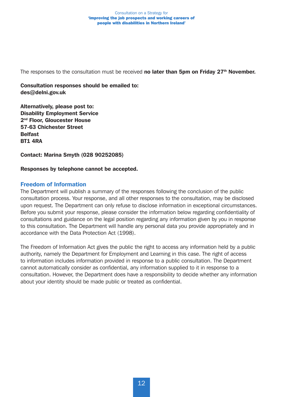The responses to the consultation must be received no later than  $5<sub>pm</sub>$  on Friday  $27<sup>th</sup>$  November.

Consultation responses should be emailed to: des@delni.gov.uk

Alternatively, please post to: Disability Employment Service 2<sup>nd</sup> Floor, Gloucester House 57-63 Chichester Street **Belfast** BT1 4RA

Contact: Marina Smyth (028 90252085)

#### Responses by telephone cannot be accepted.

#### Freedom of Information

The Department will publish a summary of the responses following the conclusion of the public consultation process. Your response, and all other responses to the consultation, may be disclosed upon request. The Department can only refuse to disclose information in exceptional circumstances. Before you submit your response, please consider the information below regarding confidentiality of consultations and guidance on the legal position regarding any information given by you in response to this consultation. The Department will handle any personal data you provide appropriately and in accordance with the Data Protection Act (1998).

The Freedom of Information Act gives the public the right to access any information held by a public authority, namely the Department for Employment and Learning in this case. The right of access to information includes information provided in response to a public consultation. The Department cannot automatically consider as confidential, any information supplied to it in response to a consultation. However, the Department does have a responsibility to decide whether any information about your identity should be made public or treated as confidential.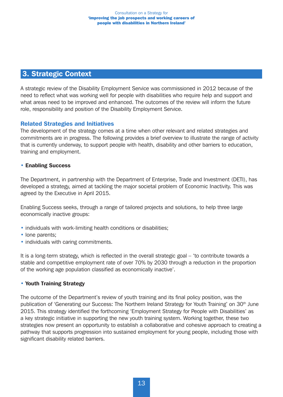# 3. Strategic Context

A strategic review of the Disability Employment Service was commissioned in 2012 because of the need to reflect what was working well for people with disabilities who require help and support and what areas need to be improved and enhanced. The outcomes of the review will inform the future role, responsibility and position of the Disability Employment Service.

#### Related Strategies and Initiatives

The development of the strategy comes at a time when other relevant and related strategies and commitments are in progress. The following provides a brief overview to illustrate the range of activity that is currently underway, to support people with health, disability and other barriers to education, training and employment.

#### • Enabling Success

The Department, in partnership with the Department of Enterprise, Trade and Investment (DETI), has developed a strategy, aimed at tackling the major societal problem of Economic Inactivity. This was agreed by the Executive in April 2015.

Enabling Success seeks, through a range of tailored projects and solutions, to help three large economically inactive groups:

- individuals with work-limiting health conditions or disabilities;
- lone parents;
- individuals with caring commitments.

It is a long-term strategy, which is reflected in the overall strategic goal – 'to contribute towards a stable and competitive employment rate of over 70% by 2030 through a reduction in the proportion of the working age population classified as economically inactive'.

#### • Youth Training Strategy

The outcome of the Department's review of youth training and its final policy position, was the publication of 'Generating our Success: The Northern Ireland Strategy for Youth Training' on 30<sup>th</sup> June 2015. This strategy identified the forthcoming 'Employment Strategy for People with Disabilities' as a key strategic initiative in supporting the new youth training system. Working together, these two strategies now present an opportunity to establish a collaborative and cohesive approach to creating a pathway that supports progression into sustained employment for young people, including those with significant disability related barriers.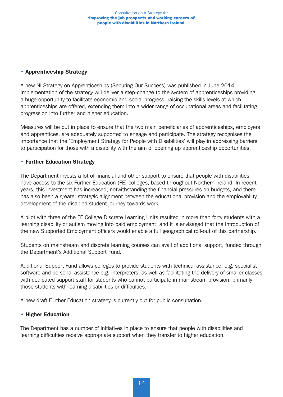#### • Apprenticeship Strategy

A new NI Strategy on Apprenticeships (Securing Our Success) was published in June 2014. Implementation of the strategy will deliver a step-change to the system of apprenticeships providing a huge opportunity to facilitate economic and social progress, raising the skills levels at which apprenticeships are offered, extending them into a wider range of occupational areas and facilitating progression into further and higher education.

Measures will be put in place to ensure that the two main beneficiaries of apprenticeships, employers and apprentices, are adequately supported to engage and participate. The strategy recognises the importance that the 'Employment Strategy for People with Disabilities' will play in addressing barriers to participation for those with a disability with the aim of opening up apprenticeship opportunities.

## • Further Education Strategy

The Department invests a lot of financial and other support to ensure that people with disabilities have access to the six Further Education (FE) colleges, based throughout Northern Ireland. In recent years, this investment has increased, notwithstanding the financial pressures on budgets, and there has also been a greater strategic alignment between the educational provision and the employability development of the disabled student journey towards work.

A pilot with three of the FE College Discrete Learning Units resulted in more than forty students with a learning disability or autism moving into paid employment, and it is envisaged that the introduction of the new Supported Employment officers would enable a full geographical roll-out of this partnership.

Students on mainstream and discrete learning courses can avail of additional support, funded through the Department's Additional Support Fund.

Additional Support Fund allows colleges to provide students with technical assistance; e.g. specialist software and personal assistance e.g. interpreters, as well as facilitating the delivery of smaller classes with dedicated support staff for students who cannot participate in mainstream provision, primarily those students with learning disabilities or difficulties.

A new draft Further Education strategy is currently out for public consultation.

#### • Higher Education

The Department has a number of initiatives in place to ensure that people with disabilities and learning difficulties receive appropriate support when they transfer to higher education.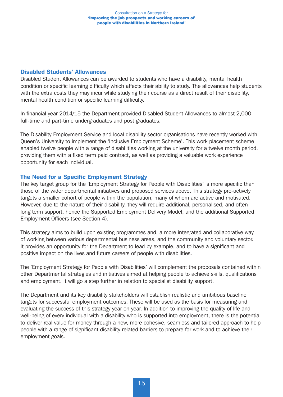#### Disabled Students' Allowances

Disabled Student Allowances can be awarded to students who have a disability, mental health condition or specific learning difficulty which affects their ability to study. The allowances help students with the extra costs they may incur while studying their course as a direct result of their disability, mental health condition or specific learning difficulty.

In financial year 2014/15 the Department provided Disabled Student Allowances to almost 2,000 full-time and part-time undergraduates and post graduates.

The Disability Employment Service and local disability sector organisations have recently worked with Queen's University to implement the 'Inclusive Employment Scheme'. This work placement scheme enabled twelve people with a range of disabilities working at the university for a twelve month period, providing them with a fixed term paid contract, as well as providing a valuable work experience opportunity for each individual.

#### The Need for a Specific Employment Strategy

The key target group for the 'Employment Strategy for People with Disabilities' is more specific than those of the wider departmental initiatives and proposed services above. This strategy pro-actively targets a smaller cohort of people within the population, many of whom are active and motivated. However, due to the nature of their disability, they will require additional, personalised, and often long term support, hence the Supported Employment Delivery Model, and the additional Supported Employment Officers (see Section 4).

This strategy aims to build upon existing programmes and, a more integrated and collaborative way of working between various departmental business areas, and the community and voluntary sector. It provides an opportunity for the Department to lead by example, and to have a significant and positive impact on the lives and future careers of people with disabilities.

The 'Employment Strategy for People with Disabilities' will complement the proposals contained within other Departmental strategies and initiatives aimed at helping people to achieve skills, qualifications and employment. It will go a step further in relation to specialist disability support.

The Department and its key disability stakeholders will establish realistic and ambitious baseline targets for successful employment outcomes. These will be used as the basis for measuring and evaluating the success of this strategy year on year. In addition to improving the quality of life and well-being of every individual with a disability who is supported into employment, there is the potential to deliver real value for money through a new, more cohesive, seamless and tailored approach to help people with a range of significant disability related barriers to prepare for work and to achieve their employment goals.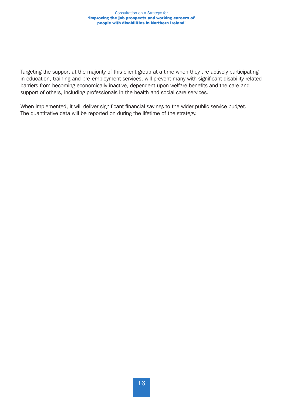Targeting the support at the majority of this client group at a time when they are actively participating in education, training and pre-employment services, will prevent many with significant disability related barriers from becoming economically inactive, dependent upon welfare benefits and the care and support of others, including professionals in the health and social care services.

When implemented, it will deliver significant financial savings to the wider public service budget. The quantitative data will be reported on during the lifetime of the strategy.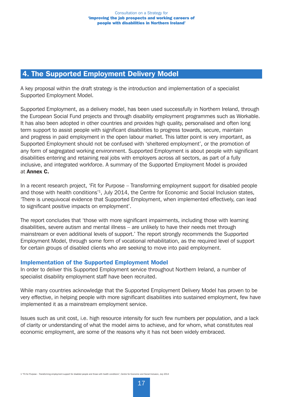# 4. The Supported Employment Delivery Model

A key proposal within the draft strategy is the introduction and implementation of a specialist Supported Employment Model.

Supported Employment, as a delivery model, has been used successfully in Northern Ireland, through the European Social Fund projects and through disability employment programmes such as Workable. It has also been adopted in other countries and provides high quality, personalised and often long term support to assist people with significant disabilities to progress towards, secure, maintain and progress in paid employment in the open labour market. This latter point is very important, as Supported Employment should not be confused with 'sheltered employment', or the promotion of any form of segregated working environment. Supported Employment is about people with significant disabilities entering and retaining real jobs with employers across all sectors, as part of a fully inclusive, and integrated workforce. A summary of the Supported Employment Model is provided at Annex C.

In a recent research project, 'Fit for Purpose – Transforming employment support for disabled people and those with health conditions<sup>1</sup>, July 2014, the Centre for Economic and Social Inclusion states, 'There is unequivocal evidence that Supported Employment, when implemented effectively, can lead to significant positive impacts on employment'.

The report concludes that 'those with more significant impairments, including those with learning disabilities, severe autism and mental illness – are unlikely to have their needs met through mainstream or even additional levels of support.' The report strongly recommends the Supported Employment Model, through some form of vocational rehabilitation, as the required level of support for certain groups of disabled clients who are seeking to move into paid employment.

#### Implementation of the Supported Employment Model

In order to deliver this Supported Employment service throughout Northern Ireland, a number of specialist disability employment staff have been recruited.

While many countries acknowledge that the Supported Employment Delivery Model has proven to be very effective, in helping people with more significant disabilities into sustained employment, few have implemented it as a mainstream employment service.

Issues such as unit cost, i.e. high resource intensity for such few numbers per population, and a lack of clarity or understanding of what the model aims to achieve, and for whom, what constitutes real economic employment, are some of the reasons why it has not been widely embraced.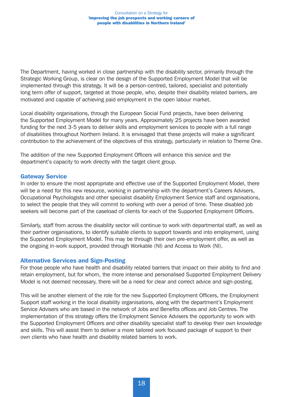The Department, having worked in close partnership with the disability sector, primarily through the Strategic Working Group, is clear on the design of the Supported Employment Model that will be implemented through this strategy. It will be a person-centred, tailored, specialist and potentially long term offer of support, targeted at those people, who, despite their disability related barriers, are motivated and capable of achieving paid employment in the open labour market.

Local disability organisations, through the European Social Fund projects, have been delivering the Supported Employment Model for many years. Approximately 25 projects have been awarded funding for the next 3-5 years to deliver skills and employment services to people with a full range of disabilities throughout Northern Ireland. It is envisaged that these projects will make a significant contribution to the achievement of the objectives of this strategy, particularly in relation to Theme One.

The addition of the new Supported Employment Officers will enhance this service and the department's capacity to work directly with the target client group.

#### Gateway Service

In order to ensure the most appropriate and effective use of the Supported Employment Model, there will be a need for this new resource, working in partnership with the department's Careers Advisers, Occupational Psychologists and other specialist disability Employment Service staff and organisations, to select the people that they will commit to working with over a period of time. These disabled job seekers will become part of the caseload of clients for each of the Supported Employment Officers.

Similarly, staff from across the disability sector will continue to work with departmental staff, as well as their partner organisations, to identify suitable clients to support towards and into employment, using the Supported Employment Model. This may be through their own pre-employment offer, as well as the ongoing in-work support, provided through Workable (NI) and Access to Work (NI).

#### Alternative Services and Sign-Posting

For those people who have health and disability related barriers that impact on their ability to find and retain employment, but for whom, the more intense and personalised Supported Employment Delivery Model is not deemed necessary, there will be a need for clear and correct advice and sign-posting.

This will be another element of the role for the new Supported Employment Officers, the Employment Support staff working in the local disability organisations, along with the department's Employment Service Advisers who are based in the network of Jobs and Benefits offices and Job Centres. The implementation of this strategy offers the Employment Service Advisers the opportunity to work with the Supported Employment Officers and other disability specialist staff to develop their own knowledge and skills. This will assist them to deliver a more tailored work focused package of support to their own clients who have health and disability related barriers to work.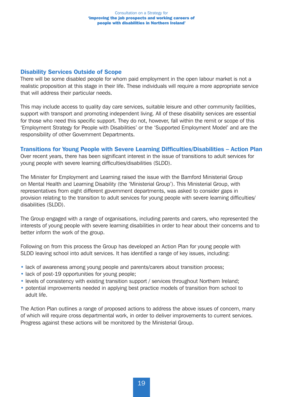#### Disability Services Outside of Scope

There will be some disabled people for whom paid employment in the open labour market is not a realistic proposition at this stage in their life. These individuals will require a more appropriate service that will address their particular needs.

This may include access to quality day care services, suitable leisure and other community facilities, support with transport and promoting independent living. All of these disability services are essential for those who need this specific support. They do not, however, fall within the remit or scope of this 'Employment Strategy for People with Disabilities' or the 'Supported Employment Model' and are the responsibility of other Government Departments.

#### Transitions for Young People with Severe Learning Difficulties/Disabilities – Action Plan

Over recent years, there has been significant interest in the issue of transitions to adult services for young people with severe learning difficulties/disabilities (SLDD).

The Minister for Employment and Learning raised the issue with the Bamford Ministerial Group on Mental Health and Learning Disability (the 'Ministerial Group'). This Ministerial Group, with representatives from eight different government departments, was asked to consider gaps in provision relating to the transition to adult services for young people with severe learning difficulties/ disabilities (SLDD).

The Group engaged with a range of organisations, including parents and carers, who represented the interests of young people with severe learning disabilities in order to hear about their concerns and to better inform the work of the group.

Following on from this process the Group has developed an Action Plan for young people with SLDD leaving school into adult services. It has identified a range of key issues, including:

- lack of awareness among young people and parents/carers about transition process;
- lack of post-19 opportunities for young people;
- levels of consistency with existing transition support / services throughout Northern Ireland;
- potential improvements needed in applying best practice models of transition from school to adult life.

The Action Plan outlines a range of proposed actions to address the above issues of concern, many of which will require cross departmental work, in order to deliver improvements to current services. Progress against these actions will be monitored by the Ministerial Group.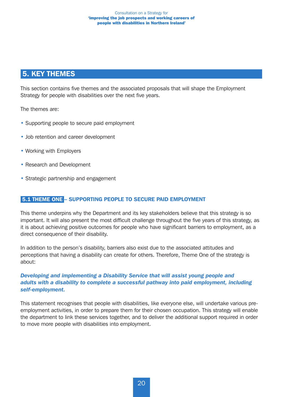#### Consultation on a Strategy for 'improving the job prospects and working careers of people with disabilities in Northern Ireland'

# 5. KEY THEMES

This section contains five themes and the associated proposals that will shape the Employment Strategy for people with disabilities over the next five years.

The themes are:

- Supporting people to secure paid employment
- Job retention and career development
- Working with Employers
- Research and Development
- Strategic partnership and engagement

#### 5.1 THEME ONE – SUPPORTING PEOPLE TO SECURE PAID EMPLOYMENT

This theme underpins why the Department and its key stakeholders believe that this strategy is so important. It will also present the most difficult challenge throughout the five years of this strategy, as it is about achieving positive outcomes for people who have significant barriers to employment, as a direct consequence of their disability.

In addition to the person's disability, barriers also exist due to the associated attitudes and perceptions that having a disability can create for others. Therefore, Theme One of the strategy is about:

#### *Developing and implementing a Disability Service that will assist young people and adults with a disability to complete a successful pathway into paid employment, including self-employment.*

This statement recognises that people with disabilities, like everyone else, will undertake various preemployment activities, in order to prepare them for their chosen occupation. This strategy will enable the department to link these services together, and to deliver the additional support required in order to move more people with disabilities into employment.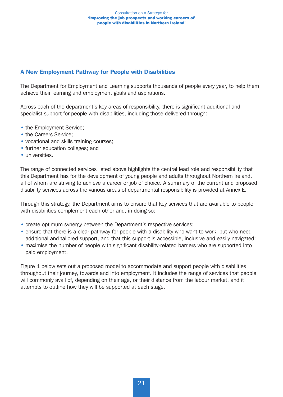## A New Employment Pathway for People with Disabilities

The Department for Employment and Learning supports thousands of people every year, to help them achieve their learning and employment goals and aspirations.

Across each of the department's key areas of responsibility, there is significant additional and specialist support for people with disabilities, including those delivered through:

- the Employment Service;
- the Careers Service;
- vocational and skills training courses;
- further education colleges; and
- universities.

The range of connected services listed above highlights the central lead role and responsibility that this Department has for the development of young people and adults throughout Northern Ireland, all of whom are striving to achieve a career or job of choice. A summary of the current and proposed disability services across the various areas of departmental responsibility is provided at Annex E.

Through this strategy, the Department aims to ensure that key services that are available to people with disabilities complement each other and, in doing so:

- create optimum synergy between the Department's respective services;
- ensure that there is a clear pathway for people with a disability who want to work, but who need additional and tailored support, and that this support is accessible, inclusive and easily navigated;
- maximise the number of people with significant disability-related barriers who are supported into paid employment.

Figure 1 below sets out a proposed model to accommodate and support people with disabilities throughout their journey, towards and into employment. It includes the range of services that people will commonly avail of, depending on their age, or their distance from the labour market, and it attempts to outline how they will be supported at each stage.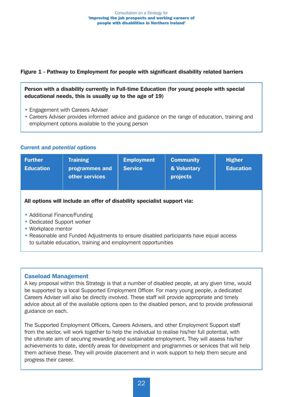## Figure 1 - Pathway to Employment for people with significant disability related barriers

#### Person with a disability currently in Full-time Education (for young people with special educational needs, this is usually up to the age of 19)

- Engagement with Careers Adviser
- Careers Adviser provides informed advice and guidance on the range of education, training and employment options available to the young person

#### Current and *potential* options

| <b>Further</b><br><b>Education</b>                                                  | <b>Training</b><br>programmes and<br>other services | <b>Employment</b><br><b>Service</b> | <b>Community</b><br>& Voluntary<br>projects | <b>Higher</b><br><b>Education</b> |  |
|-------------------------------------------------------------------------------------|-----------------------------------------------------|-------------------------------------|---------------------------------------------|-----------------------------------|--|
| All options will include an offer of disability specialist support via:             |                                                     |                                     |                                             |                                   |  |
| • Additional Finance/Funding<br>• Dedicated Support worker<br>Allouviologo propries |                                                     |                                     |                                             |                                   |  |

- Workplace mentor
- Reasonable and Funded Adjustments to ensure disabled participants have equal access to suitable education, training and employment opportunities

#### Caseload Management

A key proposal within this Strategy is that a number of disabled people, at any given time, would be supported by a local Supported Employment Officer. For many young people, a dedicated Careers Adviser will also be directly involved. These staff will provide appropriate and timely advice about all of the available options open to the disabled person, and to provide professional guidance on each.

The Supported Employment Officers, Careers Advisers, and other Employment Support staff from the sector, will work together to help the individual to realise his/her full potential, with the ultimate aim of securing rewarding and sustainable employment. They will assess his/her achievements to date, identify areas for development and programmes or services that will help them achieve these. They will provide placement and in work support to help them secure and progress their career.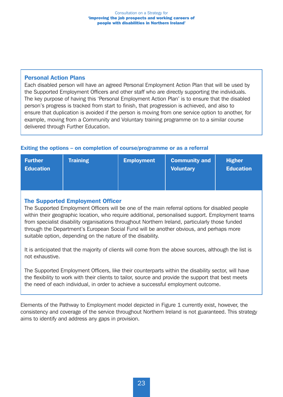## Personal Action Plans

Each disabled person will have an agreed Personal Employment Action Plan that will be used by the Supported Employment Officers and other staff who are directly supporting the individuals. The key purpose of having this 'Personal Employment Action Plan' is to ensure that the disabled person's progress is tracked from start to finish, that progression is achieved, and also to ensure that duplication is avoided if the person is moving from one service option to another, for example, moving from a Community and Voluntary training programme on to a similar course delivered through Further Education.

#### Exiting the options – on completion of course/programme or as a referral

| <b>Community and</b><br><b>Training</b><br><b>Higher</b><br><b>Employment</b><br><b>Further</b><br><b>Education</b><br><b>Education</b><br><b>Voluntary</b> |  |
|-------------------------------------------------------------------------------------------------------------------------------------------------------------|--|
|-------------------------------------------------------------------------------------------------------------------------------------------------------------|--|

## The Supported Employment Officer

The Supported Employment Officers will be one of the main referral options for disabled people within their geographic location, who require additional, personalised support. Employment teams from specialist disability organisations throughout Northern Ireland, particularly those funded through the Department's European Social Fund will be another obvious, and perhaps more suitable option, depending on the nature of the disability.

It is anticipated that the majority of clients will come from the above sources, although the list is not exhaustive.

The Supported Employment Officers, like their counterparts within the disability sector, will have the flexibility to work with their clients to tailor, source and provide the support that best meets the need of each individual, in order to achieve a successful employment outcome.

Elements of the Pathway to Employment model depicted in Figure 1 currently exist, however, the consistency and coverage of the service throughout Northern Ireland is not guaranteed. This strategy aims to identify and address any gaps in provision.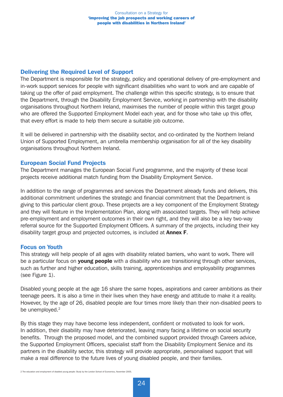## Delivering the Required Level of Support

The Department is responsible for the strategy, policy and operational delivery of pre-employment and in-work support services for people with significant disabilities who want to work and are capable of taking up the offer of paid employment. The challenge within this specific strategy, is to ensure that the Department, through the Disability Employment Service, working in partnership with the disability organisations throughout Northern Ireland, maximises the number of people within this target group who are offered the Supported Employment Model each year, and for those who take up this offer, that every effort is made to help them secure a suitable job outcome.

It will be delivered in partnership with the disability sector, and co-ordinated by the Northern Ireland Union of Supported Employment, an umbrella membership organisation for all of the key disability organisations throughout Northern Ireland.

#### European Social Fund Projects

The Department manages the European Social Fund programme, and the majority of these local projects receive additional match funding from the Disability Employment Service.

In addition to the range of programmes and services the Department already funds and delivers, this additional commitment underlines the strategic and financial commitment that the Department is giving to this particular client group. These projects are a key component of the Employment Strategy and they will feature in the Implementation Plan, along with associated targets. They will help achieve pre-employment and employment outcomes in their own right, and they will also be a key two-way referral source for the Supported Employment Officers. A summary of the projects, including their key disability target group and projected outcomes, is included at **Annex F.** 

#### Focus on Youth

This strategy will help people of all ages with disability related barriers, who want to work. There will be a particular focus on young people with a disability who are transitioning through other services, such as further and higher education, skills training, apprenticeships and employability programmes (see Figure 1).

Disabled young people at the age 16 share the same hopes, aspirations and career ambitions as their teenage peers. It is also a time in their lives when they have energy and attitude to make it a reality. However, by the age of 26, disabled people are four times more likely than their non-disabled peers to be unemployed. $2$ 

By this stage they may have become less independent, confident or motivated to look for work. In addition, their disability may have deteriorated, leaving many facing a lifetime on social security benefits. Through the proposed model, and the combined support provided through Careers advice, the Supported Employment Officers, specialist staff from the Disability Employment Service and its partners in the disability sector, this strategy will provide appropriate, personalised support that will make a real difference to the future lives of young disabled people, and their families.

2 The education and employment of disabled young people: Study by the London School of Economics, November 2005.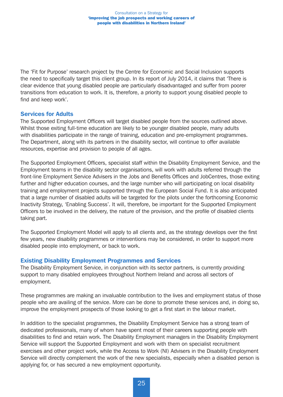The 'Fit for Purpose' research project by the Centre for Economic and Social Inclusion supports the need to specifically target this client group. In its report of July 2014, it claims that 'There is clear evidence that young disabled people are particularly disadvantaged and suffer from poorer transitions from education to work. It is, therefore, a priority to support young disabled people to find and keep work'.

#### Services for Adults

The Supported Employment Officers will target disabled people from the sources outlined above. Whilst those exiting full-time education are likely to be younger disabled people, many adults with disabilities participate in the range of training, education and pre-employment programmes. The Department, along with its partners in the disability sector, will continue to offer available resources, expertise and provision to people of all ages.

The Supported Employment Officers, specialist staff within the Disability Employment Service, and the Employment teams in the disability sector organisations, will work with adults referred through the front-line Employment Service Advisers in the Jobs and Benefits Offices and JobCentres, those exiting further and higher education courses, and the large number who will participating on local disability training and employment projects supported through the European Social Fund. It is also anticipated that a large number of disabled adults will be targeted for the pilots under the forthcoming Economic Inactivity Strategy, 'Enabling Success'. It will, therefore, be important for the Supported Employment Officers to be involved in the delivery, the nature of the provision, and the profile of disabled clients taking part.

The Supported Employment Model will apply to all clients and, as the strategy develops over the first few years, new disability programmes or interventions may be considered, in order to support more disabled people into employment, or back to work.

#### Existing Disability Employment Programmes and Services

The Disability Employment Service, in conjunction with its sector partners, is currently providing support to many disabled employees throughout Northern Ireland and across all sectors of employment.

These programmes are making an invaluable contribution to the lives and employment status of those people who are availing of the service. More can be done to promote these services and, in doing so, improve the employment prospects of those looking to get a first start in the labour market.

In addition to the specialist programmes, the Disability Employment Service has a strong team of dedicated professionals, many of whom have spent most of their careers supporting people with disabilities to find and retain work. The Disability Employment managers in the Disability Employment Service will support the Supported Employment and work with them on specialist recruitment exercises and other project work, while the Access to Work (NI) Advisers in the Disability Employment Service will directly complement the work of the new specialists, especially when a disabled person is applying for, or has secured a new employment opportunity.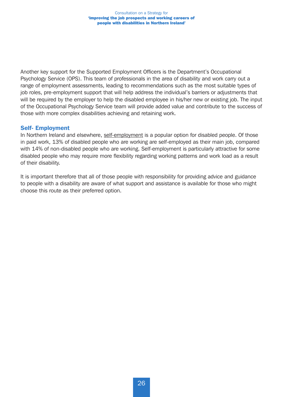Another key support for the Supported Employment Officers is the Department's Occupational Psychology Service (OPS). This team of professionals in the area of disability and work carry out a range of employment assessments, leading to recommendations such as the most suitable types of job roles, pre-employment support that will help address the individual's barriers or adjustments that will be required by the employer to help the disabled employee in his/her new or existing job. The input of the Occupational Psychology Service team will provide added value and contribute to the success of those with more complex disabilities achieving and retaining work.

#### Self- Employment

In Northern Ireland and elsewhere, self-employment is a popular option for disabled people. Of those in paid work, 13% of disabled people who are working are self-employed as their main job, compared with 14% of non-disabled people who are working. Self-employment is particularly attractive for some disabled people who may require more flexibility regarding working patterns and work load as a result of their disability.

It is important therefore that all of those people with responsibility for providing advice and guidance to people with a disability are aware of what support and assistance is available for those who might choose this route as their preferred option.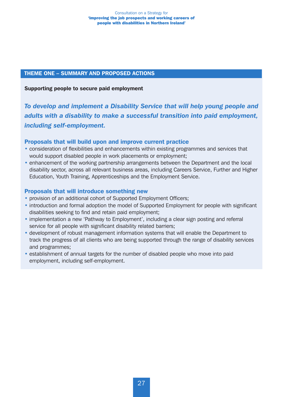#### THEME ONE – SUMMARY AND PROPOSED ACTIONS

Supporting people to secure paid employment

*To develop and implement a Disability Service that will help young people and adults with a disability to make a successful transition into paid employment, including self-employment.*

#### Proposals that will build upon and improve current practice

- consideration of flexibilities and enhancements within existing programmes and services that would support disabled people in work placements or employment;
- enhancement of the working partnership arrangements between the Department and the local disability sector, across all relevant business areas, including Careers Service, Further and Higher Education, Youth Training, Apprenticeships and the Employment Service.

#### Proposals that will introduce something new

- provision of an additional cohort of Supported Employment Officers;
- introduction and formal adoption the model of Supported Employment for people with significant disabilities seeking to find and retain paid employment;
- implementation a new 'Pathway to Employment', including a clear sign posting and referral service for all people with significant disability related barriers;
- development of robust management information systems that will enable the Department to track the progress of all clients who are being supported through the range of disability services and programmes;
- establishment of annual targets for the number of disabled people who move into paid employment, including self-employment.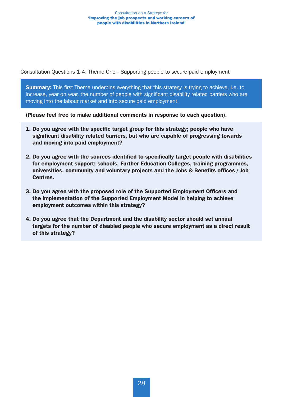Consultation Questions 1-4: Theme One - Supporting people to secure paid employment

**Summary:** This first Theme underpins everything that this strategy is trying to achieve, i.e. to increase, year on year, the number of people with significant disability related barriers who are moving into the labour market and into secure paid employment.

(Please feel free to make additional comments in response to each question).

- 1. Do you agree with the specific target group for this strategy; people who have significant disability related barriers, but who are capable of progressing towards and moving into paid employment?
- 2. Do you agree with the sources identified to specifically target people with disabilities for employment support; schools, Further Education Colleges, training programmes, universities, community and voluntary projects and the Jobs & Benefits offices / Job Centres.
- 3. Do you agree with the proposed role of the Supported Employment Officers and the implementation of the Supported Employment Model in helping to achieve employment outcomes within this strategy?
- 4. Do you agree that the Department and the disability sector should set annual targets for the number of disabled people who secure employment as a direct result of this strategy?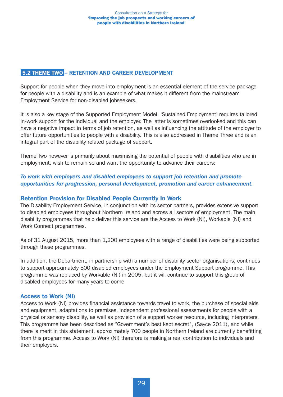## 5.2 THEME TWO – RETENTION AND CAREER DEVELOPMENT

Support for people when they move into employment is an essential element of the service package for people with a disability and is an example of what makes it different from the mainstream Employment Service for non-disabled jobseekers.

It is also a key stage of the Supported Employment Model. 'Sustained Employment' requires tailored in-work support for the individual and the employer. The latter is sometimes overlooked and this can have a negative impact in terms of job retention, as well as influencing the attitude of the employer to offer future opportunities to people with a disability. This is also addressed in Theme Three and is an integral part of the disability related package of support.

Theme Two however is primarily about maximising the potential of people with disabilities who are in employment, wish to remain so and want the opportunity to advance their careers:

#### *To work with employers and disabled employees to support job retention and promote opportunities for progression, personal development, promotion and career enhancement.*

#### Retention Provision for Disabled People Currently In Work

The Disability Employment Service, in conjunction with its sector partners, provides extensive support to disabled employees throughout Northern Ireland and across all sectors of employment. The main disability programmes that help deliver this service are the Access to Work (NI), Workable (NI) and Work Connect programmes.

As of 31 August 2015, more than 1,200 employees with a range of disabilities were being supported through these programmes.

In addition, the Department, in partnership with a number of disability sector organisations, continues to support approximately 500 disabled employees under the Employment Support programme. This programme was replaced by Workable (NI) in 2005, but it will continue to support this group of disabled employees for many years to come

#### Access to Work (NI)

Access to Work (NI) provides financial assistance towards travel to work, the purchase of special aids and equipment, adaptations to premises, independent professional assessments for people with a physical or sensory disability, as well as provision of a support worker resource, including interpreters. This programme has been described as "Government's best kept secret", (Sayce 2011), and while there is merit in this statement, approximately 700 people in Northern Ireland are currently benefitting from this programme. Access to Work (NI) therefore is making a real contribution to individuals and their employers.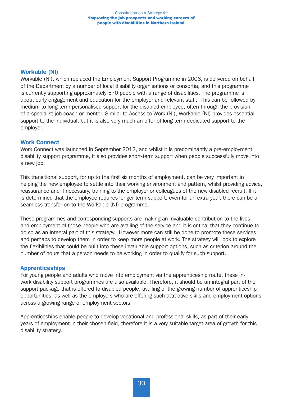#### Workable (NI)

Workable (NI), which replaced the Employment Support Programme in 2006, is delivered on behalf of the Department by a number of local disability organisations or consortia, and this programme is currently supporting approximately 570 people with a range of disabilities. The programme is about early engagement and education for the employer and relevant staff. This can be followed by medium to long-term personalised support for the disabled employee, often through the provision of a specialist job coach or mentor. Similar to Access to Work (NI), Workable (NI) provides essential support to the individual, but it is also very much an offer of long term dedicated support to the employer.

#### Work Connect

Work Connect was launched in September 2012, and whilst it is predominantly a pre-employment disability support programme, it also provides short-term support when people successfully move into a new job.

This transitional support, for up to the first six months of employment, can be very important in helping the new employee to settle into their working environment and pattern, whilst providing advice, reassurance and if necessary, training to the employer or colleagues of the new disabled recruit. If it is determined that the employee requires longer term support, even for an extra year, there can be a seamless transfer on to the Workable (NI) programme.

These programmes and corresponding supports are making an invaluable contribution to the lives and employment of those people who are availing of the service and it is critical that they continue to do so as an integral part of this strategy. However more can still be done to promote these services and perhaps to develop them in order to keep more people at work. The strategy will look to explore the flexibilities that could be built into these invaluable support options, such as criterion around the number of hours that a person needs to be working in order to qualify for such support.

#### Apprenticeships

For young people and adults who move into employment via the apprenticeship route, these inwork disability support programmes are also available. Therefore, it should be an integral part of the support package that is offered to disabled people, availing of the growing number of apprenticeship opportunities, as well as the employers who are offering such attractive skills and employment options across a growing range of employment sectors.

Apprenticeships enable people to develop vocational and professional skills, as part of their early years of employment in their chosen field, therefore it is a very suitable target area of growth for this disability strategy.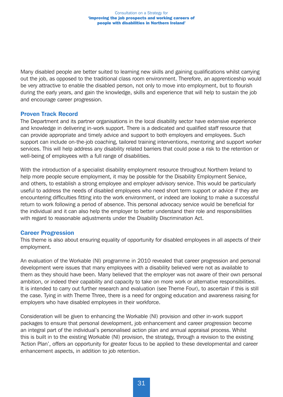Many disabled people are better suited to learning new skills and gaining qualifications whilst carrying out the job, as opposed to the traditional class room environment. Therefore, an apprenticeship would be very attractive to enable the disabled person, not only to move into employment, but to flourish during the early years, and gain the knowledge, skills and experience that will help to sustain the job and encourage career progression.

#### Proven Track Record

The Department and its partner organisations in the local disability sector have extensive experience and knowledge in delivering in-work support. There is a dedicated and qualified staff resource that can provide appropriate and timely advice and support to both employers and employees. Such support can include on-the-job coaching, tailored training interventions, mentoring and support worker services. This will help address any disability related barriers that could pose a risk to the retention or well-being of employees with a full range of disabilities.

With the introduction of a specialist disability employment resource throughout Northern Ireland to help more people secure employment, it may be possible for the Disability Employment Service, and others, to establish a strong employee and employer advisory service. This would be particularly useful to address the needs of disabled employees who need short term support or advice if they are encountering difficulties fitting into the work environment, or indeed are looking to make a successful return to work following a period of absence. This personal advocacy service would be beneficial for the individual and it can also help the employer to better understand their role and responsibilities with regard to reasonable adjustments under the Disability Discrimination Act.

#### Career Progression

This theme is also about ensuring equality of opportunity for disabled employees in all aspects of their employment.

An evaluation of the Workable (NI) programme in 2010 revealed that career progression and personal development were issues that many employees with a disability believed were not as available to them as they should have been. Many believed that the employer was not aware of their own personal ambition, or indeed their capability and capacity to take on more work or alternative responsibilities. It is intended to carry out further research and evaluation (see Theme Four), to ascertain if this is still the case. Tying in with Theme Three, there is a need for ongoing education and awareness raising for employers who have disabled employees in their workforce.

Consideration will be given to enhancing the Workable (NI) provision and other in-work support packages to ensure that personal development, job enhancement and career progression become an integral part of the individual's personalised action plan and annual appraisal process. Whilst this is built in to the existing Workable (NI) provision, the strategy, through a revision to the existing 'Action Plan', offers an opportunity for greater focus to be applied to these developmental and career enhancement aspects, in addition to job retention.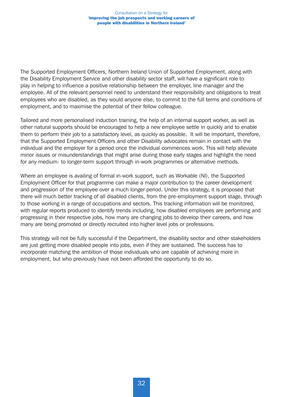The Supported Employment Officers, Northern Ireland Union of Supported Employment, along with the Disability Employment Service and other disability sector staff, will have a significant role to play in helping to influence a positive relationship between the employer, line manager and the employee. All of the relevant personnel need to understand their responsibility and obligations to treat employees who are disabled, as they would anyone else, to commit to the full terms and conditions of employment, and to maximise the potential of their fellow colleague.

Tailored and more personalised induction training, the help of an internal support worker, as well as other natural supports should be encouraged to help a new employee settle in quickly and to enable them to perform their job to a satisfactory level, as quickly as possible. It will be important, therefore, that the Supported Employment Officers and other Disability advocates remain in contact with the individual and the employer for a period once the individual commences work. This will help alleviate minor issues or misunderstandings that might arise during those early stages and highlight the need for any medium- to longer-term support through in-work programmes or alternative methods.

Where an employee is availing of formal in-work support, such as Workable (NI), the Supported Employment Officer for that programme can make a major contribution to the career development and progression of the employee over a much longer period. Under this strategy, it is proposed that there will much better tracking of all disabled clients, from the pre-employment support stage, through to those working in a range of occupations and sectors. This tracking information will be monitored, with regular reports produced to identify trends including, how disabled employees are performing and progressing in their respective jobs, how many are changing jobs to develop their careers, and how many are being promoted or directly recruited into higher level jobs or professions.

This strategy will not be fully successful if the Department, the disability sector and other stakeholders are just getting more disabled people into jobs, even if they are sustained. The success has to incorporate matching the ambition of those individuals who are capable of achieving more in employment, but who previously have not been afforded the opportunity to do so.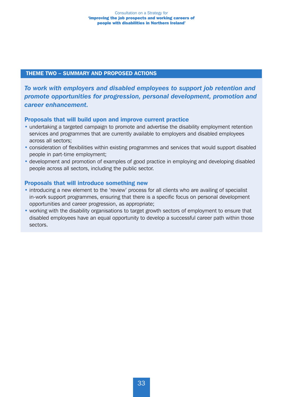#### THEME TWO – SUMMARY AND PROPOSED ACTIONS

*To work with employers and disabled employees to support job retention and promote opportunities for progression, personal development, promotion and career enhancement.* 

#### Proposals that will build upon and improve current practice

- undertaking a targeted campaign to promote and advertise the disability employment retention services and programmes that are currently available to employers and disabled employees across all sectors;
- consideration of flexibilities within existing programmes and services that would support disabled people in part-time employment;
- development and promotion of examples of good practice in employing and developing disabled people across all sectors, including the public sector.

#### Proposals that will introduce something new

- introducing a new element to the 'review' process for all clients who are availing of specialist in-work support programmes, ensuring that there is a specific focus on personal development opportunities and career progression, as appropriate;
- working with the disability organisations to target growth sectors of employment to ensure that disabled employees have an equal opportunity to develop a successful career path within those sectors.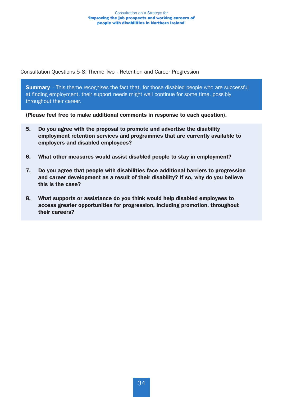Consultation Questions 5-8: Theme Two - Retention and Career Progression

**Summary** – This theme recognises the fact that, for those disabled people who are successful at finding employment, their support needs might well continue for some time, possibly throughout their career.

(Please feel free to make additional comments in response to each question).

- 5. Do you agree with the proposal to promote and advertise the disability employment retention services and programmes that are currently available to employers and disabled employees?
- 6. What other measures would assist disabled people to stay in employment?
- 7. Do you agree that people with disabilities face additional barriers to progression and career development as a result of their disability? If so, why do you believe this is the case?
- 8. What supports or assistance do you think would help disabled employees to access greater opportunities for progression, including promotion, throughout their careers?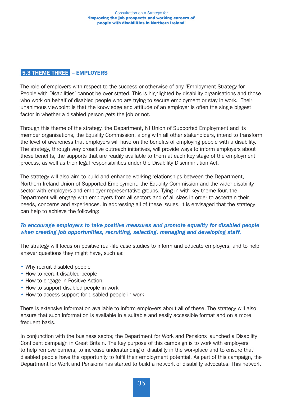#### 5.3 THEME THREE – EMPLOYERS

The role of employers with respect to the success or otherwise of any 'Employment Strategy for People with Disabilities' cannot be over stated. This is highlighted by disability organisations and those who work on behalf of disabled people who are trying to secure employment or stay in work. Their unanimous viewpoint is that the knowledge and attitude of an employer is often the single biggest factor in whether a disabled person gets the job or not.

Through this theme of the strategy, the Department, NI Union of Supported Employment and its member organisations, the Equality Commission, along with all other stakeholders, intend to transform the level of awareness that employers will have on the benefits of employing people with a disability. The strategy, through very proactive outreach initiatives, will provide ways to inform employers about these benefits, the supports that are readily available to them at each key stage of the employment process, as well as their legal responsibilities under the Disability Discrimination Act.

The strategy will also aim to build and enhance working relationships between the Department, Northern Ireland Union of Supported Employment, the Equality Commission and the wider disability sector with employers and employer representative groups. Tying in with key theme four, the Department will engage with employers from all sectors and of all sizes in order to ascertain their needs, concerns and experiences. In addressing all of these issues, it is envisaged that the strategy can help to achieve the following:

#### *To encourage employers to take positive measures and promote equality for disabled people when creating job opportunities, recruiting, selecting, managing and developing staff.*

The strategy will focus on positive real-life case studies to inform and educate employers, and to help answer questions they might have, such as:

- Why recruit disabled people
- How to recruit disabled people
- How to engage in Positive Action
- How to support disabled people in work
- How to access support for disabled people in work

There is extensive information available to inform employers about all of these. The strategy will also ensure that such information is available in a suitable and easily accessible format and on a more frequent basis.

In conjunction with the business sector, the Department for Work and Pensions launched a Disability Confident campaign in Great Britain. The key purpose of this campaign is to work with employers to help remove barriers, to increase understanding of disability in the workplace and to ensure that disabled people have the opportunity to fulfil their employment potential. As part of this campaign, the Department for Work and Pensions has started to build a network of disability advocates. This network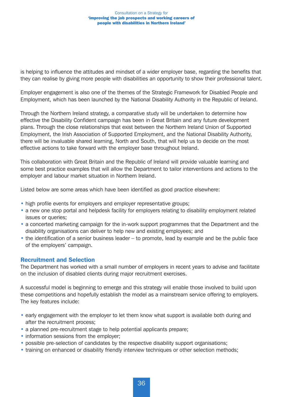is helping to influence the attitudes and mindset of a wider employer base, regarding the benefits that they can realise by giving more people with disabilities an opportunity to show their professional talent.

Employer engagement is also one of the themes of the Strategic Framework for Disabled People and Employment, which has been launched by the National Disability Authority in the Republic of Ireland.

Through the Northern Ireland strategy, a comparative study will be undertaken to determine how effective the Disability Confident campaign has been in Great Britain and any future development plans. Through the close relationships that exist between the Northern Ireland Union of Supported Employment, the Irish Association of Supported Employment, and the National Disability Authority, there will be invaluable shared learning, North and South, that will help us to decide on the most effective actions to take forward with the employer base throughout Ireland.

This collaboration with Great Britain and the Republic of Ireland will provide valuable learning and some best practice examples that will allow the Department to tailor interventions and actions to the employer and labour market situation in Northern Ireland.

Listed below are some areas which have been identified as good practice elsewhere:

- high profile events for employers and employer representative groups;
- a new one stop portal and helpdesk facility for employers relating to disability employment related issues or queries;
- a concerted marketing campaign for the in-work support programmes that the Department and the disability organisations can deliver to help new and existing employees; and
- the identification of a senior business leader to promote, lead by example and be the public face of the employers' campaign.

#### Recruitment and Selection

The Department has worked with a small number of employers in recent years to advise and facilitate on the inclusion of disabled clients during major recruitment exercises.

A successful model is beginning to emerge and this strategy will enable those involved to build upon these competitions and hopefully establish the model as a mainstream service offering to employers. The key features include:

- early engagement with the employer to let them know what support is available both during and after the recruitment process;
- a planned pre-recruitment stage to help potential applicants prepare;
- information sessions from the employer;
- possible pre-selection of candidates by the respective disability support organisations;
- training on enhanced or disability friendly interview techniques or other selection methods;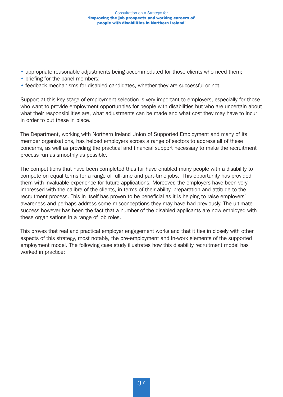- appropriate reasonable adjustments being accommodated for those clients who need them;
- briefing for the panel members;
- feedback mechanisms for disabled candidates, whether they are successful or not.

Support at this key stage of employment selection is very important to employers, especially for those who want to provide employment opportunities for people with disabilities but who are uncertain about what their responsibilities are, what adjustments can be made and what cost they may have to incur in order to put these in place.

The Department, working with Northern Ireland Union of Supported Employment and many of its member organisations, has helped employers across a range of sectors to address all of these concerns, as well as providing the practical and financial support necessary to make the recruitment process run as smoothly as possible.

The competitions that have been completed thus far have enabled many people with a disability to compete on equal terms for a range of full-time and part-time jobs. This opportunity has provided them with invaluable experience for future applications. Moreover, the employers have been very impressed with the calibre of the clients, in terms of their ability, preparation and attitude to the recruitment process. This in itself has proven to be beneficial as it is helping to raise employers' awareness and perhaps address some misconceptions they may have had previously. The ultimate success however has been the fact that a number of the disabled applicants are now employed with these organisations in a range of job roles.

This proves that real and practical employer engagement works and that it ties in closely with other aspects of this strategy, most notably, the pre-employment and in-work elements of the supported employment model. The following case study illustrates how this disability recruitment model has worked in practice: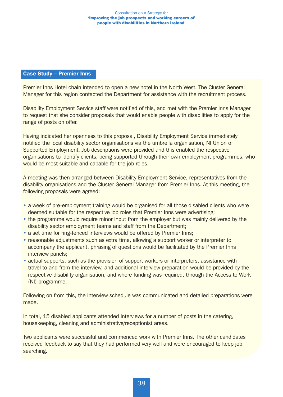#### Case Study – Premier Inns

Premier Inns Hotel chain intended to open a new hotel in the North West. The Cluster General Manager for this region contacted the Department for assistance with the recruitment process.

Disability Employment Service staff were notified of this, and met with the Premier Inns Manager to request that she consider proposals that would enable people with disabilities to apply for the range of posts on offer.

Having indicated her openness to this proposal, Disability Employment Service immediately notified the local disability sector organisations via the umbrella organisation, NI Union of Supported Employment. Job descriptions were provided and this enabled the respective organisations to identify clients, being supported through their own employment programmes, who would be most suitable and capable for the job roles.

A meeting was then arranged between Disability Employment Service, representatives from the disability organisations and the Cluster General Manager from Premier Inns. At this meeting, the following proposals were agreed:

- a week of pre-employment training would be organised for all those disabled clients who were deemed suitable for the respective job roles that Premier Inns were advertising;
- the programme would require minor input from the employer but was mainly delivered by the disability sector employment teams and staff from the Department;
- a set time for ring-fenced interviews would be offered by Premier Inns;
- reasonable adjustments such as extra time, allowing a support worker or interpreter to accompany the applicant, phrasing of questions would be facilitated by the Premier Inns interview panels;
- actual supports, such as the provision of support workers or interpreters, assistance with travel to and from the interview, and additional interview preparation would be provided by the respective disability organisation, and where funding was required, through the Access to Work (NI) programme.

Following on from this, the interview schedule was communicated and detailed preparations were made.

In total, 15 disabled applicants attended interviews for a number of posts in the catering, housekeeping, cleaning and administrative/receptionist areas.

Two applicants were successful and commenced work with Premier Inns. The other candidates received feedback to say that they had performed very well and were encouraged to keep job searching.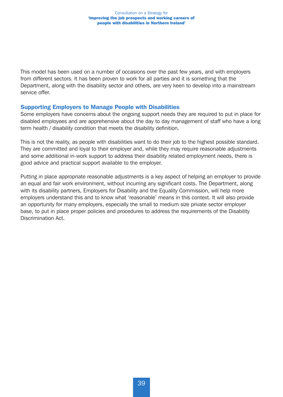This model has been used on a number of occasions over the past few years, and with employers from different sectors. It has been proven to work for all parties and it is something that the Department, along with the disability sector and others, are very keen to develop into a mainstream service offer.

#### Supporting Employers to Manage People with Disabilities

Some employers have concerns about the ongoing support needs they are required to put in place for disabled employees and are apprehensive about the day to day management of staff who have a long term health / disability condition that meets the disability definition.

This is not the reality, as people with disabilities want to do their job to the highest possible standard. They are committed and loyal to their employer and, while they may require reasonable adjustments and some additional in-work support to address their disability related employment needs, there is good advice and practical support available to the employer.

Putting in place appropriate reasonable adjustments is a key aspect of helping an employer to provide an equal and fair work environment, without incurring any significant costs. The Department, along with its disability partners, Employers for Disability and the Equality Commission, will help more employers understand this and to know what 'reasonable' means in this context. It will also provide an opportunity for many employers, especially the small to medium size private sector employer base, to put in place proper policies and procedures to address the requirements of the Disability Discrimination Act.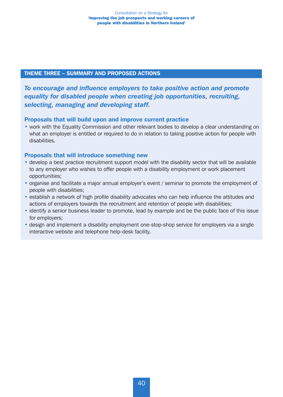#### THEME THREE – SUMMARY AND PROPOSED ACTIONS

*To encourage and influence employers to take positive action and promote equality for disabled people when creating job opportunities, recruiting, selecting, managing and developing staff.* 

#### Proposals that will build upon and improve current practice

• work with the Equality Commission and other relevant bodies to develop a clear understanding on what an employer is entitled or required to do in relation to taking positive action for people with disabilities.

#### Proposals that will introduce something new

- develop a best practice recruitment support model with the disability sector that will be available to any employer who wishes to offer people with a disability employment or work placement opportunities;
- organise and facilitate a major annual employer's event / seminar to promote the employment of people with disabilities;
- establish a network of high profile disability advocates who can help influence the attitudes and actions of employers towards the recruitment and retention of people with disabilities;
- identify a senior business leader to promote, lead by example and be the public face of this issue for employers;
- design and implement a disability employment one-stop-shop service for employers via a single interactive website and telephone help-desk facility.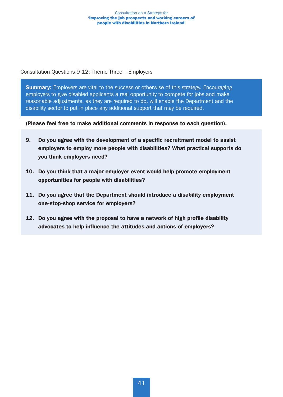#### Consultation Questions 9-12: Theme Three – Employers

**Summary:** Employers are vital to the success or otherwise of this strategy. Encouraging employers to give disabled applicants a real opportunity to compete for jobs and make reasonable adjustments, as they are required to do, will enable the Department and the disability sector to put in place any additional support that may be required.

(Please feel free to make additional comments in response to each question).

- 9. Do you agree with the development of a specific recruitment model to assist employers to employ more people with disabilities? What practical supports do you think employers need?
- 10. Do you think that a major employer event would help promote employment opportunities for people with disabilities?
- 11. Do you agree that the Department should introduce a disability employment one-stop-shop service for employers?
- 12. Do you agree with the proposal to have a network of high profile disability advocates to help influence the attitudes and actions of employers?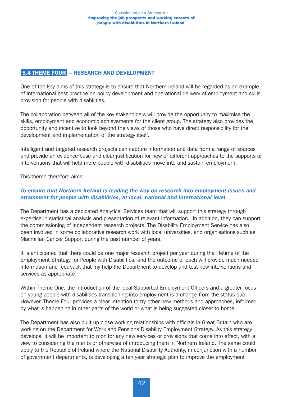#### 5.4 THEME FOUR – RESEARCH AND DEVELOPMENT

One of the key aims of this strategy is to ensure that Northern Ireland will be regarded as an example of international best practice on policy development and operational delivery of employment and skills provision for people with disabilities.

The collaboration between all of the key stakeholders will provide the opportunity to maximise the skills, employment and economic achievements for the client group. The strategy also provides the opportunity and incentive to look beyond the views of those who have direct responsibility for the development and implementation of the strategy itself.

Intelligent and targeted research projects can capture information and data from a range of sources and provide an evidence base and clear justification for new or different approaches to the supports or interventions that will help more people with disabilities move into and sustain employment.

This theme therefore aims:

#### *To ensure that Northern Ireland is leading the way on research into employment issues and attainment for people with disabilities, at local, national and International level.*

The Department has a dedicated Analytical Services team that will support this strategy through expertise in statistical analysis and presentation of relevant information. In addition, they can support the commissioning of independent research projects. The Disability Employment Service has also been involved in some collaborative research work with local universities, and organisations such as Macmillan Cancer Support during the past number of years.

It is anticipated that there could be one major research project per year during the lifetime of the Employment Strategy for People with Disabilities, and the outcome of each will provide much needed information and feedback that my help the Department to develop and test new interventions and services as appropriate

Within Theme One, the introduction of the local Supported Employment Officers and a greater focus on young people with disabilities transitioning into employment is a change from the status quo. However, Theme Four provides a clear intention to try other new methods and approaches, informed by what is happening in other parts of the world or what is being suggested closer to home.

The Department has also built up close working relationships with officials in Great Britain who are working on the Department for Work and Pensions Disability Employment Strategy. As this strategy develops, it will be important to monitor any new services or provisions that come into effect, with a view to considering the merits or otherwise of introducing them in Northern Ireland. The same could apply to the Republic of Ireland where the National Disability Authority, in conjunction with a number of government departments, is developing a ten year strategic plan to improve the employment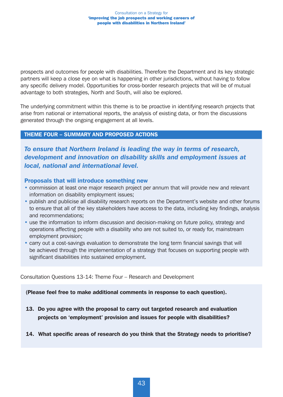prospects and outcomes for people with disabilities. Therefore the Department and its key strategic partners will keep a close eye on what is happening in other jurisdictions, without having to follow any specific delivery model. Opportunities for cross-border research projects that will be of mutual advantage to both strategies, North and South, will also be explored.

The underlying commitment within this theme is to be proactive in identifying research projects that arise from national or international reports, the analysis of existing data, or from the discussions generated through the ongoing engagement at all levels.

#### THEME FOUR – SUMMARY AND PROPOSED ACTIONS

*To ensure that Northern Ireland is leading the way in terms of research, development and innovation on disability skills and employment issues at local, national and international level.* 

#### Proposals that will introduce something new

- commission at least one major research project per annum that will provide new and relevant information on disability employment issues;
- publish and publicise all disability research reports on the Department's website and other forums to ensure that all of the key stakeholders have access to the data, including key findings, analysis and recommendations;
- use the information to inform discussion and decision-making on future policy, strategy and operations affecting people with a disability who are not suited to, or ready for, mainstream employment provision;
- carry out a cost-savings evaluation to demonstrate the long term financial savings that will be achieved through the implementation of a strategy that focuses on supporting people with significant disabilities into sustained employment.

Consultation Questions 13-14: Theme Four – Research and Development

(Please feel free to make additional comments in response to each question).

- 13. Do you agree with the proposal to carry out targeted research and evaluation projects on 'employment' provision and issues for people with disabilities?
- 14. What specific areas of research do you think that the Strategy needs to prioritise?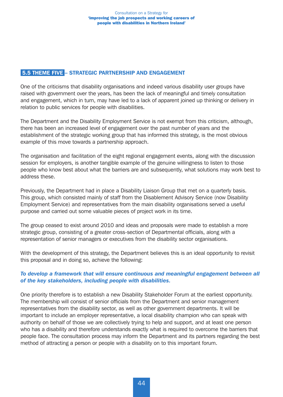## 5.5 THEME FIVE – STRATEGIC PARTNERSHIP AND ENGAGEMENT

One of the criticisms that disability organisations and indeed various disability user groups have raised with government over the years, has been the lack of meaningful and timely consultation and engagement, which in turn, may have led to a lack of apparent joined up thinking or delivery in relation to public services for people with disabilities.

The Department and the Disability Employment Service is not exempt from this criticism, although, there has been an increased level of engagement over the past number of years and the establishment of the strategic working group that has informed this strategy, is the most obvious example of this move towards a partnership approach.

The organisation and facilitation of the eight regional engagement events, along with the discussion session for employers, is another tangible example of the genuine willingness to listen to those people who know best about what the barriers are and subsequently, what solutions may work best to address these.

Previously, the Department had in place a Disability Liaison Group that met on a quarterly basis. This group, which consisted mainly of staff from the Disablement Advisory Service (now Disability Employment Service) and representatives from the main disability organisations served a useful purpose and carried out some valuable pieces of project work in its time.

The group ceased to exist around 2010 and ideas and proposals were made to establish a more strategic group, consisting of a greater cross-section of Departmental officials, along with a representation of senior managers or executives from the disability sector organisations.

With the development of this strategy, the Department believes this is an ideal opportunity to revisit this proposal and in doing so, achieve the following:

#### *To develop a framework that will ensure continuous and meaningful engagement between all of the key stakeholders, including people with disabilities.*

One priority therefore is to establish a new Disability Stakeholder Forum at the earliest opportunity. The membership will consist of senior officials from the Department and senior management representatives from the disability sector, as well as other government departments. It will be important to include an employer representative, a local disability champion who can speak with authority on behalf of those we are collectively trying to help and support, and at least one person who has a disability and therefore understands exactly what is required to overcome the barriers that people face. The consultation process may inform the Department and its partners regarding the best method of attracting a person or people with a disability on to this important forum.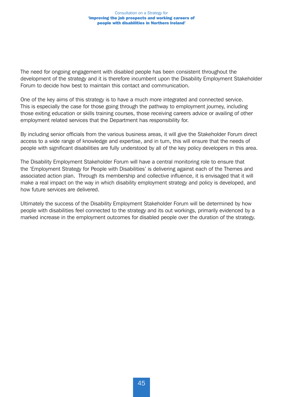The need for ongoing engagement with disabled people has been consistent throughout the development of the strategy and it is therefore incumbent upon the Disability Employment Stakeholder Forum to decide how best to maintain this contact and communication.

One of the key aims of this strategy is to have a much more integrated and connected service. This is especially the case for those going through the pathway to employment journey, including those exiting education or skills training courses, those receiving careers advice or availing of other employment related services that the Department has responsibility for.

By including senior officials from the various business areas, it will give the Stakeholder Forum direct access to a wide range of knowledge and expertise, and in turn, this will ensure that the needs of people with significant disabilities are fully understood by all of the key policy developers in this area.

The Disability Employment Stakeholder Forum will have a central monitoring role to ensure that the 'Employment Strategy for People with Disabilities' is delivering against each of the Themes and associated action plan. Through its membership and collective influence, it is envisaged that it will make a real impact on the way in which disability employment strategy and policy is developed, and how future services are delivered.

Ultimately the success of the Disability Employment Stakeholder Forum will be determined by how people with disabilities feel connected to the strategy and its out workings, primarily evidenced by a marked increase in the employment outcomes for disabled people over the duration of the strategy.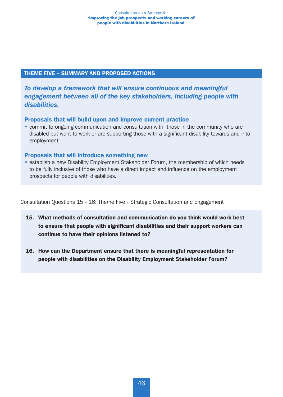#### THEME FIVE – SUMMARY AND PROPOSED ACTIONS

*To develop a framework that will ensure continuous and meaningful engagement between all of the key stakeholders, including people with disabilities.* 

#### Proposals that will build upon and improve current practice

• commit to ongoing communication and consultation with those in the community who are disabled but want to work or are supporting those with a significant disability towards and into employment

#### Proposals that will introduce something new

• establish a new Disability Employment Stakeholder Forum, the membership of which needs to be fully inclusive of those who have a direct impact and influence on the employment prospects for people with disabilities.

Consultation Questions 15 - 16: Theme Five - Strategic Consultation and Engagement

- 15. What methods of consultation and communication do you think would work best to ensure that people with significant disabilities and their support workers can continue to have their opinions listened to?
- 16. How can the Department ensure that there is meaningful representation for people with disabilities on the Disability Employment Stakeholder Forum?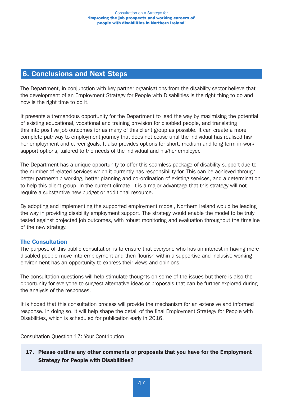## 6. Conclusions and Next Steps

The Department, in conjunction with key partner organisations from the disability sector believe that the development of an Employment Strategy for People with Disabilities is the right thing to do and now is the right time to do it.

It presents a tremendous opportunity for the Department to lead the way by maximising the potential of existing educational, vocational and training provision for disabled people, and translating this into positive job outcomes for as many of this client group as possible. It can create a more complete pathway to employment journey that does not cease until the individual has realised his/ her employment and career goals. It also provides options for short, medium and long term in-work support options, tailored to the needs of the individual and his/her employer.

The Department has a unique opportunity to offer this seamless package of disability support due to the number of related services which it currently has responsibility for. This can be achieved through better partnership working, better planning and co-ordination of existing services, and a determination to help this client group. In the current climate, it is a major advantage that this strategy will not require a substantive new budget or additional resource.

By adopting and implementing the supported employment model, Northern Ireland would be leading the way in providing disability employment support. The strategy would enable the model to be truly tested against projected job outcomes, with robust monitoring and evaluation throughout the timeline of the new strategy.

#### The Consultation

The purpose of this public consultation is to ensure that everyone who has an interest in having more disabled people move into employment and then flourish within a supportive and inclusive working environment has an opportunity to express their views and opinions.

The consultation questions will help stimulate thoughts on some of the issues but there is also the opportunity for everyone to suggest alternative ideas or proposals that can be further explored during the analysis of the responses.

It is hoped that this consultation process will provide the mechanism for an extensive and informed response. In doing so, it will help shape the detail of the final Employment Strategy for People with Disabilities, which is scheduled for publication early in 2016.

Consultation Question 17: Your Contribution

17. Please outline any other comments or proposals that you have for the Employment Strategy for People with Disabilities?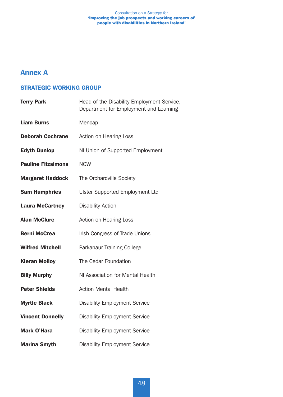#### Consultation on a Strategy for 'improving the job prospects and working careers of people with disabilities in Northern Ireland'

# Annex A

## STRATEGIC WORKING GROUP

| <b>Terry Park</b>         | Head of the Disability Employment Service,<br>Department for Employment and Learning |
|---------------------------|--------------------------------------------------------------------------------------|
| <b>Liam Burns</b>         | Mencap                                                                               |
| <b>Deborah Cochrane</b>   | Action on Hearing Loss                                                               |
| <b>Edyth Dunlop</b>       | NI Union of Supported Employment                                                     |
| <b>Pauline Fitzsimons</b> | <b>NOW</b>                                                                           |
| <b>Margaret Haddock</b>   | The Orchardville Society                                                             |
| <b>Sam Humphries</b>      | <b>Ulster Supported Employment Ltd</b>                                               |
| <b>Laura McCartney</b>    | <b>Disability Action</b>                                                             |
| <b>Alan McClure</b>       | Action on Hearing Loss                                                               |
| <b>Berni McCrea</b>       | Irish Congress of Trade Unions                                                       |
| <b>Wilfred Mitchell</b>   | Parkanaur Training College                                                           |
| <b>Kieran Molloy</b>      | The Cedar Foundation                                                                 |
| <b>Billy Murphy</b>       | NI Association for Mental Health                                                     |
| <b>Peter Shields</b>      | <b>Action Mental Health</b>                                                          |
| <b>Myrtle Black</b>       | <b>Disability Employment Service</b>                                                 |
| <b>Vincent Donnelly</b>   | <b>Disability Employment Service</b>                                                 |
| <b>Mark O'Hara</b>        | <b>Disability Employment Service</b>                                                 |
| <b>Marina Smyth</b>       | <b>Disability Employment Service</b>                                                 |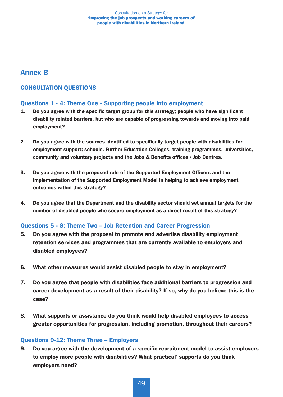#### Consultation on a Strategy for 'improving the job prospects and working careers of people with disabilities in Northern Ireland'

## Annex B

## CONSULTATION QUESTIONS

#### Questions 1 - 4: Theme One - Supporting people into employment

- 1. Do you agree with the specific target group for this strategy; people who have significant disability related barriers, but who are capable of progressing towards and moving into paid employment?
- 2. Do you agree with the sources identified to specifically target people with disabilities for employment support; schools, Further Education Colleges, training programmes, universities, community and voluntary projects and the Jobs & Benefits offices / Job Centres.
- 3. Do you agree with the proposed role of the Supported Employment Officers and the implementation of the Supported Employment Model in helping to achieve employment outcomes within this strategy?
- 4. Do you agree that the Department and the disability sector should set annual targets for the number of disabled people who secure employment as a direct result of this strategy?

#### Questions 5 - 8: Theme Two – Job Retention and Career Progression

- 5. Do you agree with the proposal to promote and advertise disability employment retention services and programmes that are currently available to employers and disabled employees?
- 6. What other measures would assist disabled people to stay in employment?
- 7. Do you agree that people with disabilities face additional barriers to progression and career development as a result of their disability? If so, why do you believe this is the case?
- 8. What supports or assistance do you think would help disabled employees to access greater opportunities for progression, including promotion, throughout their careers?

#### Questions 9-12: Theme Three – Employers

9. Do you agree with the development of a specific recruitment model to assist employers to employ more people with disabilities? What practical' supports do you think employers need?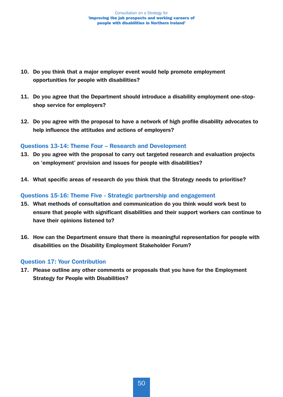- 10. Do you think that a major employer event would help promote employment opportunities for people with disabilities?
- 11. Do you agree that the Department should introduce a disability employment one-stopshop service for employers?
- 12. Do you agree with the proposal to have a network of high profile disability advocates to help influence the attitudes and actions of employers?

#### Questions 13-14: Theme Four – Research and Development

- 13. Do you agree with the proposal to carry out targeted research and evaluation projects on 'employment' provision and issues for people with disabilities?
- 14. What specific areas of research do you think that the Strategy needs to prioritise?

#### Questions 15-16: Theme Five - Strategic partnership and engagement

- 15. What methods of consultation and communication do you think would work best to ensure that people with significant disabilities and their support workers can continue to have their opinions listened to?
- 16. How can the Department ensure that there is meaningful representation for people with disabilities on the Disability Employment Stakeholder Forum?

#### Question 17: Your Contribution

17. Please outline any other comments or proposals that you have for the Employment Strategy for People with Disabilities?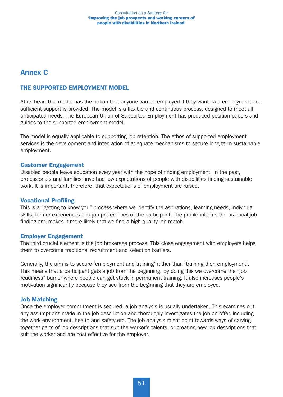# Annex C

## THE SUPPORTED EMPLOYMENT MODEL

At its heart this model has the notion that anyone can be employed if they want paid employment and sufficient support is provided. The model is a flexible and continuous process, designed to meet all anticipated needs. The European Union of Supported Employment has produced position papers and guides to the supported employment model.

The model is equally applicable to supporting job retention. The ethos of supported employment services is the development and integration of adequate mechanisms to secure long term sustainable employment.

#### Customer Engagement

Disabled people leave education every year with the hope of finding employment. In the past, professionals and families have had low expectations of people with disabilities finding sustainable work. It is important, therefore, that expectations of employment are raised.

#### Vocational Profiling

This is a "getting to know you" process where we identify the aspirations, learning needs, individual skills, former experiences and job preferences of the participant. The profile informs the practical job finding and makes it more likely that we find a high quality job match.

#### Employer Engagement

The third crucial element is the job brokerage process. This close engagement with employers helps them to overcome traditional recruitment and selection barriers.

Generally, the aim is to secure 'employment and training' rather than 'training then employment'. This means that a participant gets a job from the beginning. By doing this we overcome the "job readiness" barrier where people can get stuck in permanent training. It also increases people's motivation significantly because they see from the beginning that they are employed.

#### Job Matching

Once the employer commitment is secured, a job analysis is usually undertaken. This examines out any assumptions made in the job description and thoroughly investigates the job on offer, including the work environment, health and safety etc. The job analysis might point towards ways of carving together parts of job descriptions that suit the worker's talents, or creating new job descriptions that suit the worker and are cost effective for the employer.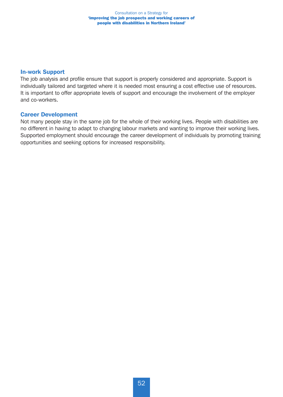#### In-work Support

The job analysis and profile ensure that support is properly considered and appropriate. Support is individually tailored and targeted where it is needed most ensuring a cost effective use of resources. It is important to offer appropriate levels of support and encourage the involvement of the employer and co-workers.

#### Career Development

Not many people stay in the same job for the whole of their working lives. People with disabilities are no different in having to adapt to changing labour markets and wanting to improve their working lives. Supported employment should encourage the career development of individuals by promoting training opportunities and seeking options for increased responsibility.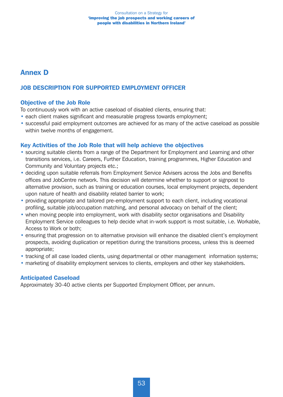#### Consultation on a Strategy for 'improving the job prospects and working careers of people with disabilities in Northern Ireland'

# Annex D

## JOB DESCRIPTION FOR SUPPORTED EMPLOYMENT OFFICER

## Objective of the Job Role

To continuously work with an active caseload of disabled clients, ensuring that:

- each client makes significant and measurable progress towards employment;
- successful paid employment outcomes are achieved for as many of the active caseload as possible within twelve months of engagement.

#### Key Activities of the Job Role that will help achieve the objectives

- sourcing suitable clients from a range of the Department for Employment and Learning and other transitions services, i.e. Careers, Further Education, training programmes, Higher Education and Community and Voluntary projects etc.;
- deciding upon suitable referrals from Employment Service Advisers across the Jobs and Benefits offices and JobCentre network. This decision will determine whether to support or signpost to alternative provision, such as training or education courses, local employment projects, dependent upon nature of health and disability related barrier to work;
- providing appropriate and tailored pre-employment support to each client, including vocational profiling, suitable job/occupation matching, and personal advocacy on behalf of the client;
- when moving people into employment, work with disability sector organisations and Disability Employment Service colleagues to help decide what in-work support is most suitable, i.e. Workable, Access to Work or both;
- ensuring that progression on to alternative provision will enhance the disabled client's employment prospects, avoiding duplication or repetition during the transitions process, unless this is deemed appropriate;
- tracking of all case loaded clients, using departmental or other management information systems;
- marketing of disability employment services to clients, employers and other key stakeholders.

#### Anticipated Caseload

Approximately 30-40 active clients per Supported Employment Officer, per annum.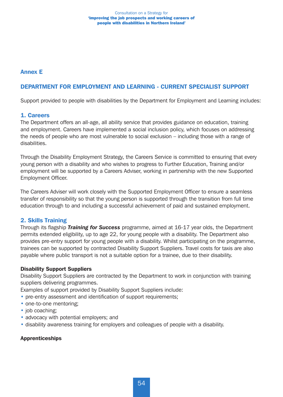## Annex E

## DEPARTMENT FOR EMPLOYMENT AND LEARNING - CURRENT SPECIALIST SUPPORT

Support provided to people with disabilities by the Department for Employment and Learning includes:

## 1. Careers

The Department offers an all-age, all ability service that provides guidance on education, training and employment. Careers have implemented a social inclusion policy, which focuses on addressing the needs of people who are most vulnerable to social exclusion – including those with a range of disabilities.

Through the Disability Employment Strategy, the Careers Service is committed to ensuring that every young person with a disability and who wishes to progress to Further Education, Training and/or employment will be supported by a Careers Adviser, working in partnership with the new Supported Employment Officer.

The Careers Adviser will work closely with the Supported Employment Officer to ensure a seamless transfer of responsibility so that the young person is supported through the transition from full time education through to and including a successful achievement of paid and sustained employment.

#### 2. Skills Training

Through its flagship *Training for Success* programme, aimed at 16-17 year olds, the Department permits extended eligibility, up to age 22, for young people with a disability. The Department also provides pre-entry support for young people with a disability. Whilst participating on the programme, trainees can be supported by contracted Disability Support Suppliers. Travel costs for taxis are also payable where public transport is not a suitable option for a trainee, due to their disability.

#### Disability Support Suppliers

Disability Support Suppliers are contracted by the Department to work in conjunction with training suppliers delivering programmes.

Examples of support provided by Disability Support Suppliers include:

- pre-entry assessment and identification of support requirements;
- one-to-one mentoring;
- job coaching;
- advocacy with potential employers; and
- disability awareness training for employers and colleagues of people with a disability.

#### Apprenticeships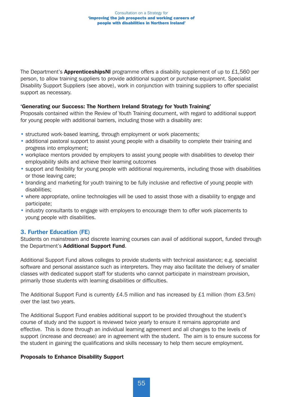The Department's **ApprenticeshipsNI** programme offers a disability supplement of up to £1,560 per person, to allow training suppliers to provide additional support or purchase equipment. Specialist Disability Support Suppliers (see above), work in conjunction with training suppliers to offer specialist support as necessary.

#### 'Generating our Success: The Northern Ireland Strategy for Youth Training'

Proposals contained within the Review of Youth Training document, with regard to additional support for young people with additional barriers, including those with a disability are:

- structured work-based learning, through employment or work placements;
- additional pastoral support to assist young people with a disability to complete their training and progress into employment;
- workplace mentors provided by employers to assist young people with disabilities to develop their employability skills and achieve their learning outcomes
- support and flexibility for young people with additional requirements, including those with disabilities or those leaving care;
- branding and marketing for youth training to be fully inclusive and reflective of young people with disabilities;
- where appropriate, online technologies will be used to assist those with a disability to engage and participate;
- industry consultants to engage with employers to encourage them to offer work placements to young people with disabilities.

#### 3. Further Education (FE)

Students on mainstream and discrete learning courses can avail of additional support, funded through the Department's Additional Support Fund.

Additional Support Fund allows colleges to provide students with technical assistance; e.g. specialist software and personal assistance such as interpreters. They may also facilitate the delivery of smaller classes with dedicated support staff for students who cannot participate in mainstream provision, primarily those students with learning disabilities or difficulties.

The Additional Support Fund is currently £4.5 million and has increased by £1 million (from £3.5m) over the last two years.

The Additional Support Fund enables additional support to be provided throughout the student's course of study and the support is reviewed twice yearly to ensure it remains appropriate and effective. This is done through an individual learning agreement and all changes to the levels of support (increase and decrease) are in agreement with the student. The aim is to ensure success for the student in gaining the qualifications and skills necessary to help them secure employment.

#### Proposals to Enhance Disability Support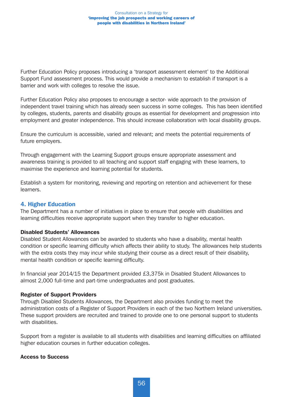Further Education Policy proposes introducing a 'transport assessment element' to the Additional Support Fund assessment process. This would provide a mechanism to establish if transport is a barrier and work with colleges to resolve the issue.

Further Education Policy also proposes to encourage a sector- wide approach to the provision of independent travel training which has already seen success in some colleges. This has been identified by colleges, students, parents and disability groups as essential for development and progression into employment and greater independence. This should increase collaboration with local disability groups.

Ensure the curriculum is accessible, varied and relevant; and meets the potential requirements of future employers.

Through engagement with the Learning Support groups ensure appropriate assessment and awareness training is provided to all teaching and support staff engaging with these learners, to maximise the experience and learning potential for students.

Establish a system for monitoring, reviewing and reporting on retention and achievement for these learners.

#### 4. Higher Education

The Department has a number of initiatives in place to ensure that people with disabilities and learning difficulties receive appropriate support when they transfer to higher education.

#### Disabled Students' Allowances

Disabled Student Allowances can be awarded to students who have a disability, mental health condition or specific learning difficulty which affects their ability to study. The allowances help students with the extra costs they may incur while studying their course as a direct result of their disability, mental health condition or specific learning difficulty.

In financial year 2014/15 the Department provided £3,375k in Disabled Student Allowances to almost 2,000 full-time and part-time undergraduates and post graduates.

#### Register of Support Providers

Through Disabled Students Allowances, the Department also provides funding to meet the administration costs of a Register of Support Providers in each of the two Northern Ireland universities. These support providers are recruited and trained to provide one to one personal support to students with disabilities.

Support from a register is available to all students with disabilities and learning difficulties on affiliated higher education courses in further education colleges.

#### Access to Success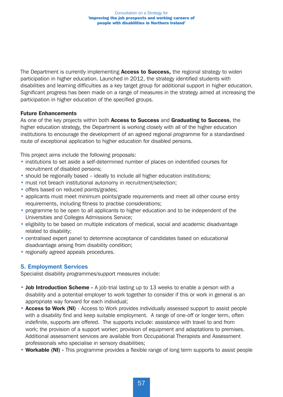The Department is currently implementing **Access to Success,** the regional strategy to widen participation in higher education. Launched in 2012, the strategy identified students with disabilities and learning difficulties as a key target group for additional support in higher education. Significant progress has been made on a range of measures in the strategy aimed at increasing the participation in higher education of the specified groups.

#### Future Enhancements

As one of the key projects within both **Access to Success** and Graduating to Success, the higher education strategy, the Department is working closely with all of the higher education institutions to encourage the development of an agreed regional programme for a standardised route of exceptional application to higher education for disabled persons.

This project aims include the following proposals:

- institutions to set aside a self-determined number of places on indentified courses for recruitment of disabled persons;
- should be regionally based ideally to include all higher education institutions;
- must not breach institutional autonomy in recruitment/selection;
- offers based on reduced points/grades;
- applicants must meet minimum points/grade requirements and meet all other course entry requirements, including fitness to practise considerations;
- programme to be open to all applicants to higher education and to be independent of the Universities and Colleges Admissions Service;
- eligibility to be based on multiple indicators of medical, social and academic disadvantage related to disability;
- centralised expert panel to determine acceptance of candidates based on educational disadvantage arising from disability condition;
- regionally agreed appeals procedures.

## 5. Employment Services

Specialist disability programmes/support measures include:

- **Job Introduction Scheme** A job-trial lasting up to 13 weeks to enable a person with a disability and a potential employer to work together to consider if this or work in general is an appropriate way forward for each individual;
- Access to Work (NI) Access to Work provides individually assessed support to assist people with a disability find and keep suitable employment. A range of one-off or longer term, often indefinite, supports are offered. The supports include: assistance with travel to and from work; the provision of a support worker; provision of equipment and adaptations to premises. Additional assessment services are available from Occupational Therapists and Assessment professionals who specialise in sensory disabilities;
- Workable (NI) This programme provides a flexible range of long term supports to assist people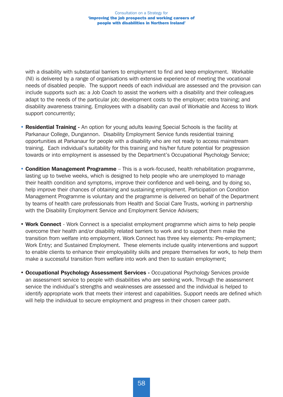with a disability with substantial barriers to employment to find and keep employment. Workable (NI) is delivered by a range of organisations with extensive experience of meeting the vocational needs of disabled people. The support needs of each individual are assessed and the provision can include supports such as: a Job Coach to assist the workers with a disability and their colleagues adapt to the needs of the particular job; development costs to the employer; extra training; and disability awareness training. Employees with a disability can avail of Workable and Access to Work support concurrently;

- Residential Training An option for young adults leaving Special Schools is the facility at Parkanaur College, Dungannon. Disability Employment Service funds residential training opportunities at Parkanaur for people with a disability who are not ready to access mainstream training. Each individual's suitability for this training and his/her future potential for progression towards or into employment is assessed by the Department's Occupational Psychology Service;
- **Condition Management Programme** This is a work-focused, health rehabilitation programme, lasting up to twelve weeks, which is designed to help people who are unemployed to manage their health condition and symptoms, improve their confidence and well-being, and by doing so, help improve their chances of obtaining and sustaining employment. Participation on Condition Management Programme is voluntary and the programme is delivered on behalf of the Department by teams of health care professionals from Health and Social Care Trusts, working in partnership with the Disability Employment Service and Employment Service Advisers;
- Work Connect Work Connect is a specialist employment programme which aims to help people overcome their health and/or disability related barriers to work and to support them make the transition from welfare into employment. Work Connect has three key elements: Pre-employment; Work Entry; and Sustained Employment. These elements include quality interventions and support to enable clients to enhance their employability skills and prepare themselves for work, to help them make a successful transition from welfare into work and then to sustain employment;
- Occupational Psychology Assessment Services Occupational Psychology Services provide an assessment service to people with disabilities who are seeking work. Through the assessment service the individual's strengths and weaknesses are assessed and the individual is helped to identify appropriate work that meets their interest and capabilities. Support needs are defined which will help the individual to secure employment and progress in their chosen career path.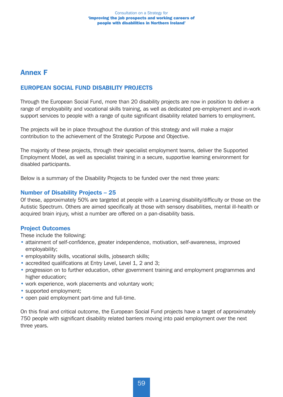# Annex F

## EUROPEAN SOCIAL FUND DISABILITY PROJECTS

Through the European Social Fund, more than 20 disability projects are now in position to deliver a range of employability and vocational skills training, as well as dedicated pre-employment and in-work support services to people with a range of quite significant disability related barriers to employment.

The projects will be in place throughout the duration of this strategy and will make a major contribution to the achievement of the Strategic Purpose and Objective.

The majority of these projects, through their specialist employment teams, deliver the Supported Employment Model, as well as specialist training in a secure, supportive learning environment for disabled participants.

Below is a summary of the Disability Projects to be funded over the next three years:

#### Number of Disability Projects – 25

Of these, approximately 50% are targeted at people with a Learning disability/difficulty or those on the Autistic Spectrum. Others are aimed specifically at those with sensory disabilities, mental ill-health or acquired brain injury, whist a number are offered on a pan-disability basis.

#### Project Outcomes

These include the following:

- attainment of self-confidence, greater independence, motivation, self-awareness, improved employability;
- employability skills, vocational skills, jobsearch skills;
- accredited qualifications at Entry Level, Level 1, 2 and 3;
- progression on to further education, other government training and employment programmes and higher education;
- work experience, work placements and voluntary work;
- supported employment;
- open paid employment part-time and full-time.

On this final and critical outcome, the European Social Fund projects have a target of approximately 750 people with significant disability related barriers moving into paid employment over the next three years.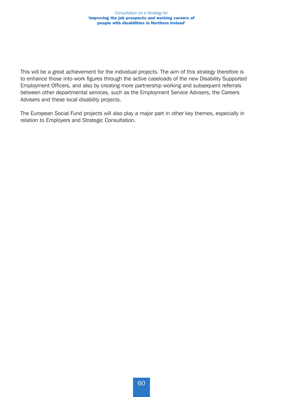This will be a great achievement for the individual projects. The aim of this strategy therefore is to enhance those into-work figures through the active caseloads of the new Disability Supported Employment Officers, and also by creating more partnership working and subsequent referrals between other departmental services, such as the Employment Service Advisers, the Careers Advisers and these local disability projects.

The European Social Fund projects will also play a major part in other key themes, especially in relation to Employers and Strategic Consultation.